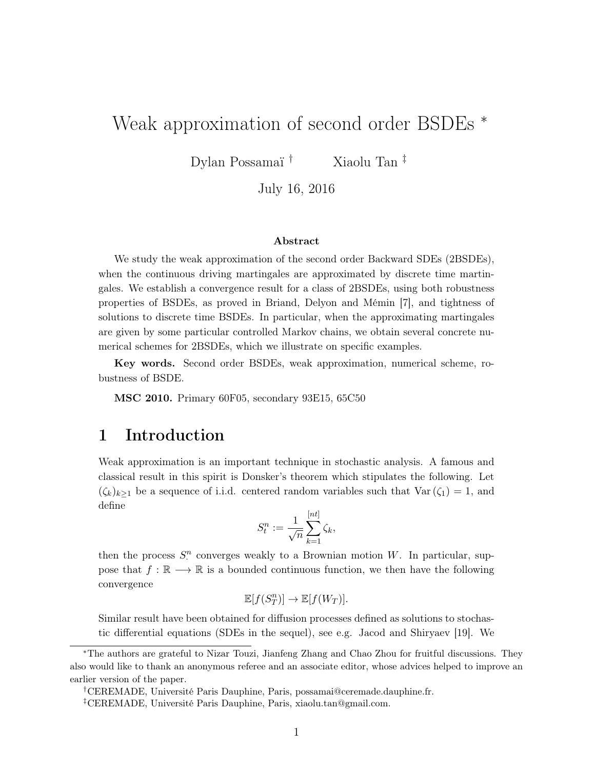# Weak approximation of second order BSDEs \*

Dylan Possamaï<sup>†</sup> Xiaolu Tan<sup> $\ddagger$ </sup>

July 16, 2016

# Abstract

We study the weak approximation of the second order Backward SDEs (2BSDEs). when the continuous driving martingales are approximated by discrete time martingales. We establish a convergence result for a class of 2BSDEs, using both robustness properties of BSDEs, as proved in Briand, Delyon and Mémin [7], and tightness of solutions to discrete time BSDEs. In particular, when the approximating martingales are given by some particular controlled Markov chains, we obtain several concrete numerical schemes for 2BSDEs, which we illustrate on specific examples.

Key words. Second order BSDEs, weak approximation, numerical scheme, robustness of BSDE.

**MSC 2010.** Primary 60F05, secondary 93E15, 65C50

# Introduction 1

Weak approximation is an important technique in stochastic analysis. A famous and classical result in this spirit is Donsker's theorem which stipulates the following. Let  $(\zeta_k)_{k\geq 1}$  be a sequence of i.i.d. centered random variables such that  $\text{Var}(\zeta_1) = 1$ , and define

$$
S_t^n := \frac{1}{\sqrt{n}} \sum_{k=1}^{\lfloor nt \rfloor} \zeta_k,
$$

then the process  $S^n$  converges weakly to a Brownian motion W. In particular, suppose that  $f : \mathbb{R} \longrightarrow \mathbb{R}$  is a bounded continuous function, we then have the following convergence

$$
\mathbb{E}[f(S_T^n)] \to \mathbb{E}[f(W_T)].
$$

Similar result have been obtained for diffusion processes defined as solutions to stochastic differential equations (SDEs in the sequel), see e.g. Jacod and Shiryaev [19]. We

<sup>†</sup>CEREMADE, Université Paris Dauphine, Paris, possamai@ceremade.dauphine.fr.

<sup>\*</sup>The authors are grateful to Nizar Touzi, Jianfeng Zhang and Chao Zhou for fruitful discussions. They also would like to thank an anonymous referee and an associate editor, whose advices helped to improve an earlier version of the paper.

<sup>&</sup>lt;sup>‡</sup>CEREMADE, Université Paris Dauphine, Paris, xiaolu.tan@gmail.com.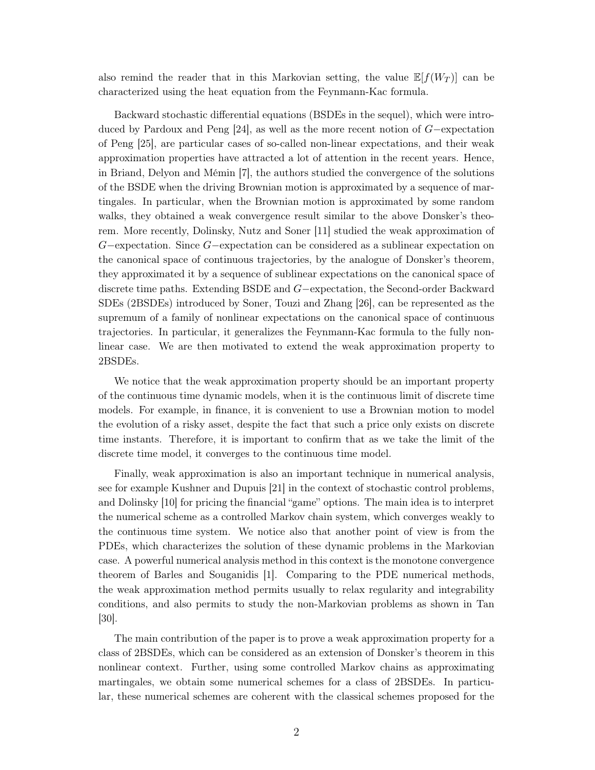also remind the reader that in this Markovian setting, the value  $\mathbb{E}[f(W_T)]$  can be characterized using the heat equation from the Feynmann-Kac formula.

Backward stochastic differential equations (BSDEs in the sequel), which were introduced by Pardoux and Peng [24], as well as the more recent notion of  $G$ -expectation of Peng [25], are particular cases of so-called non-linear expectations, and their weak approximation properties have attracted a lot of attention in the recent years. Hence, in Briand, Delyon and Mémin [7], the authors studied the convergence of the solutions of the BSDE when the driving Brownian motion is approximated by a sequence of martingularity. In particular, when the Brownian motion is approximated by some random walks, they obtained a weak convergence result similar to the above Donsker's theorem. More recently, Dolinsky, Nutz and Soner [11] studied the weak approximation of  $G$  –expectation. Since  $G$  –expectation can be considered as a sublinear expectation on the canonical space of continuous trajectories, by the analogue of Donsker's theorem, they approximated it by a sequence of sublinear expectations on the canonical space of discrete time paths. Extending BSDE and  $G$ -expectation, the Second-order Backward SDEs (2BSDEs) introduced by Soner, Touzi and Zhang [26], can be represented as the supremum of a family of nonlinear expectations on the canonical space of continuous trajectories. In particular, it generalizes the Feynmann-Kac formula to the fully nonlinear case. We are then motivated to extend the weak approximation property to 2BSDEs.

We notice that the weak approximation property should be an important property of the continuous time dynamic models, when it is the continuous limit of discrete time models. For example, in finance, it is convenient to use a Brownian motion to model the evolution of a risky asset, despite the fact that such a price only exists on discrete time instants. Therefore, it is important to confirm that as we take the limit of the discrete time model, it converges to the continuous time model.

Finally, weak approximation is also an important technique in numerical analysis, see for example Kushner and Dupuis [21] in the context of stochastic control problems, and Dolinsky [10] for pricing the financial "game" options. The main idea is to interpret the numerical scheme as a controlled Markov chain system, which converges weakly to the continuous time system. We notice also that another point of view is from the PDEs, which characterizes the solution of these dynamic problems in the Markovian case. A powerful numerical analysis method in this context is the monotone convergence theorem of Barles and Souganidis [1]. Comparing to the PDE numerical methods, the weak approximation method permits usually to relax regularity and integrability conditions, and also permits to study the non-Markovian problems as shown in Tan  $[30]$ .

The main contribution of the paper is to prove a weak approximation property for a class of 2BSDEs, which can be considered as an extension of Donsker's theorem in this nonlinear context. Further, using some controlled Markov chains as approximating martingales, we obtain some numerical schemes for a class of 2BSDEs. In particular, these numerical schemes are coherent with the classical schemes proposed for the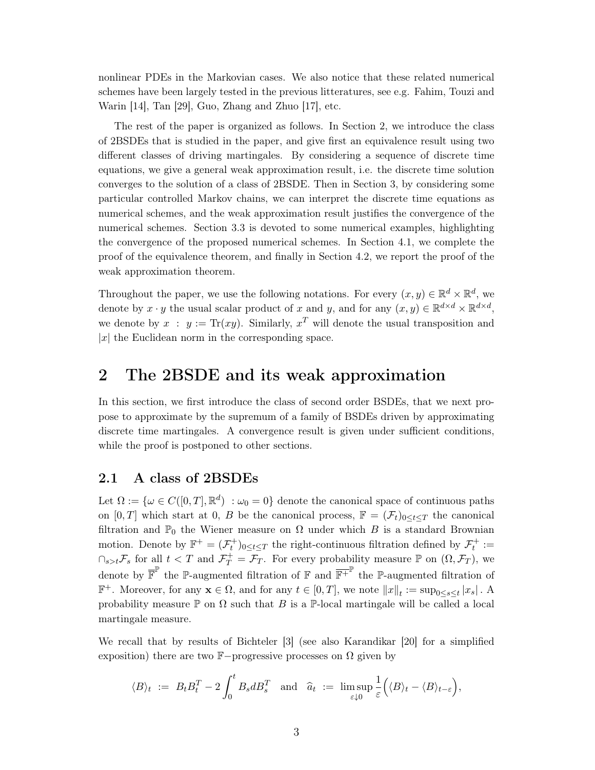nonlinear PDEs in the Markovian cases. We also notice that these related numerical schemes have been largely tested in the previous litteratures, see e.g. Fahim, Touzi and Warin  $[14]$ , Tan  $[29]$ , Guo, Zhang and Zhuo  $[17]$ , etc.

The rest of the paper is organized as follows. In Section 2, we introduce the class of 2BSDEs that is studied in the paper, and give first an equivalence result using two different classes of driving martingales. By considering a sequence of discrete time equations, we give a general weak approximation result, i.e. the discrete time solution converges to the solution of a class of 2BSDE. Then in Section 3, by considering some particular controlled Markov chains, we can interpret the discrete time equations as numerical schemes, and the weak approximation result justifies the convergence of the numerical schemes. Section 3.3 is devoted to some numerical examples, highlighting the convergence of the proposed numerical schemes. In Section 4.1, we complete the proof of the equivalence theorem, and finally in Section 4.2, we report the proof of the weak approximation theorem.

Throughout the paper, we use the following notations. For every  $(x, y) \in \mathbb{R}^d \times \mathbb{R}^d$ , we denote by  $x \cdot y$  the usual scalar product of x and y, and for any  $(x, y) \in \mathbb{R}^{d \times d} \times \mathbb{R}^{d \times d}$ , we denote by  $x : y := \text{Tr}(xy)$ . Similarly,  $x^T$  will denote the usual transposition and  $|x|$  the Euclidean norm in the corresponding space.

## $\overline{2}$ The 2BSDE and its weak approximation

In this section, we first introduce the class of second order BSDEs, that we next propose to approximate by the supremum of a family of BSDEs driven by approximating discrete time martingales. A convergence result is given under sufficient conditions, while the proof is postponed to other sections.

#### 2.1 A class of 2BSDEs

Let  $\Omega := \{ \omega \in C([0,T], \mathbb{R}^d) : \omega_0 = 0 \}$  denote the canonical space of continuous paths on [0, T] which start at 0, B be the canonical process,  $\mathbb{F} = (\mathcal{F}_t)_{0 \leq t \leq T}$  the canonical filtration and  $\mathbb{P}_0$  the Wiener measure on  $\Omega$  under which B is a standard Brownian motion. Denote by  $\mathbb{F}^+ = (\mathcal{F}^+_t)_{0 \le t \le T}$  the right-continuous filtration defined by  $\mathcal{F}^+_t :=$  $\bigcap_{s>t}\mathcal{F}_s$  for all  $t < T$  and  $\mathcal{F}_T^+ = \overline{\mathcal{F}_T}$ . For every probability measure  $\mathbb P$  on  $(\Omega, \mathcal{F}_T)$ , we denote by  $\overline{\mathbb{F}}^{\mathbb{P}}$  the P-augmented filtration of  $\mathbb{F}$  and  $\overline{\mathbb{F}}^{+}$  the P-augmented filtration of  $\mathbb{F}^+$ . Moreover, for any  $\mathbf{x} \in \Omega$ , and for any  $t \in [0, T]$ , we note  $||x||_t := \sup_{0 \le s \le t} |x_s|$ . A probability measure  $\mathbb P$  on  $\Omega$  such that B is a  $\mathbb P$ -local martingale will be called a local martingale measure.

We recall that by results of Bichteler [3] (see also Karandikar [20] for a simplified exposition) there are two  $\mathbb{F}-$ progressive processes on  $\Omega$  given by

$$
\langle B \rangle_t := B_t B_t^T - 2 \int_0^t B_s dB_s^T \text{ and } \hat{a}_t := \limsup_{\varepsilon \downarrow 0} \frac{1}{\varepsilon} \Big( \langle B \rangle_t - \langle B \rangle_{t-\varepsilon} \Big),
$$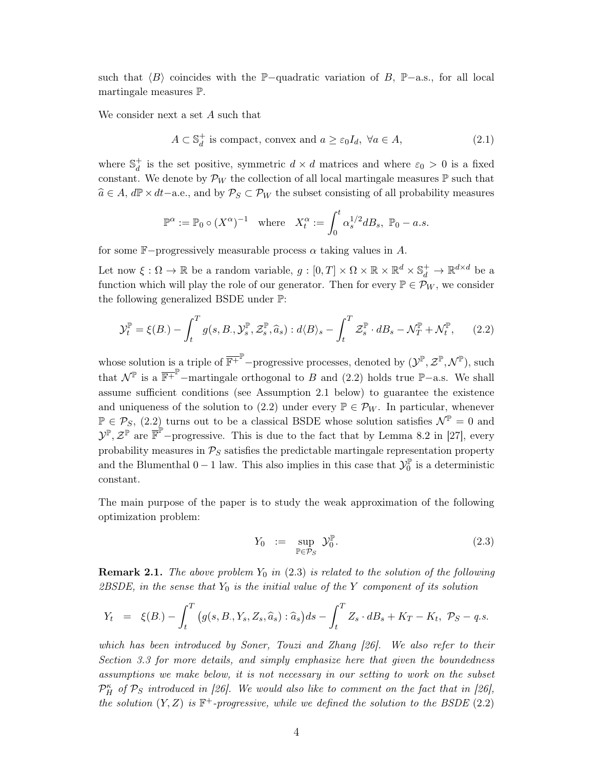such that  $\langle B \rangle$  coincides with the P-quadratic variation of B, P-a.s., for all local martingale measures P.

We consider next a set A such that

$$
A \subset \mathbb{S}_d^+ \text{ is compact, convex and } a \ge \varepsilon_0 I_d, \ \forall a \in A,
$$
\n
$$
(2.1)
$$

where  $\mathbb{S}_d^+$  is the set positive, symmetric  $d \times d$  matrices and where  $\varepsilon_0 > 0$  is a fixed constant. We denote by  $\mathcal{P}_W$  the collection of all local martingale measures  $\mathbb P$  such that  $\hat{a} \in A$ ,  $d\mathbb{P} \times dt$  - a.e., and by  $\mathcal{P}_S \subset \mathcal{P}_W$  the subset consisting of all probability measures

$$
\mathbb{P}^{\alpha} := \mathbb{P}_0 \circ (X^{\alpha})^{-1} \quad \text{where} \quad X_t^{\alpha} := \int_0^t \alpha_s^{1/2} d B_s, \ \mathbb{P}_0 - a.s.
$$

for some  $\mathbb{F}-$ progressively measurable process  $\alpha$  taking values in A.

Let now  $\xi:\Omega\to\mathbb{R}$  be a random variable,  $g:[0,T]\times\Omega\times\mathbb{R}\times\mathbb{R}^d\times\mathbb{S}_d^+\to\mathbb{R}^{d\times d}$  be a function which will play the role of our generator. Then for every  $\mathbb{P} \in \mathcal{P}_W$ , we consider the following generalized BSDE under  $\mathbb{P}$ :

$$
\mathcal{Y}_t^{\mathbb{P}} = \xi(B) - \int_t^T g(s, B, \mathcal{Y}_s^{\mathbb{P}}, \mathcal{Z}_s^{\mathbb{P}}, \widehat{a}_s) : d\langle B \rangle_s - \int_t^T \mathcal{Z}_s^{\mathbb{P}} \cdot dB_s - \mathcal{N}_T^{\mathbb{P}} + \mathcal{N}_t^{\mathbb{P}}, \tag{2.2}
$$

whose solution is a triple of  $\overline{\mathbb{F}^+}^{\mathbb{P}}$ -progressive processes, denoted by  $(\mathcal{Y}^{\mathbb{P}}, \mathcal{Z}^{\mathbb{P}}, \mathcal{N}^{\mathbb{P}})$ , such that  $\mathcal{N}^{\mathbb{P}}$  is a  $\overline{\mathbb{F}^+}^{\mathbb{P}}$ -martingale orthogonal to B and (2.2) holds true  $\mathbb{P}-a.s.$  We shall assume sufficient conditions (see Assumption 2.1 below) to guarantee the existence and uniqueness of the solution to (2.2) under every  $\mathbb{P} \in \mathcal{P}_W$ . In particular, whenever  $\mathbb{P} \in \mathcal{P}_S$ , (2.2) turns out to be a classical BSDE whose solution satisfies  $\mathcal{N}^{\mathbb{P}} = 0$  and  $\mathcal{Y}^{\mathbb{P}}, \mathcal{Z}^{\mathbb{P}}$  are  $\overline{\mathbb{F}}^{\mathbb{P}}$ -progressive. This is due to the fact that by Lemma 8.2 in [27], every probability measures in  $\mathcal{P}_S$  satisfies the predictable martingale representation property and the Blumenthal  $0-1$  law. This also implies in this case that  $\mathcal{Y}_0^{\mathbb{P}}$  is a deterministic constant.

The main purpose of the paper is to study the weak approximation of the following optimization problem:

$$
Y_0 := \sup_{\mathbb{P} \in \mathcal{P}_S} \mathcal{Y}_0^{\mathbb{P}}.
$$
 (2.3)

**Remark 2.1.** The above problem  $Y_0$  in (2.3) is related to the solution of the following 2BSDE, in the sense that  $Y_0$  is the initial value of the Y component of its solution

$$
Y_t = \xi(B) - \int_t^T \left( g(s, B, Y_s, Z_s, \hat{a}_s) : \hat{a}_s \right) ds - \int_t^T Z_s \cdot dB_s + K_T - K_t, \ \mathcal{P}_S - q.s.
$$

which has been introduced by Soner, Touzi and Zhang [26]. We also refer to their Section 3.3 for more details, and simply emphasize here that given the boundedness assumptions we make below, it is not necessary in our setting to work on the subset  $\mathcal{P}_{H}^{\kappa}$  of  $\mathcal{P}_{S}$  introduced in [26]. We would also like to comment on the fact that in [26], the solution  $(Y, Z)$  is  $\mathbb{F}^+$ -progressive, while we defined the solution to the BSDE (2.2)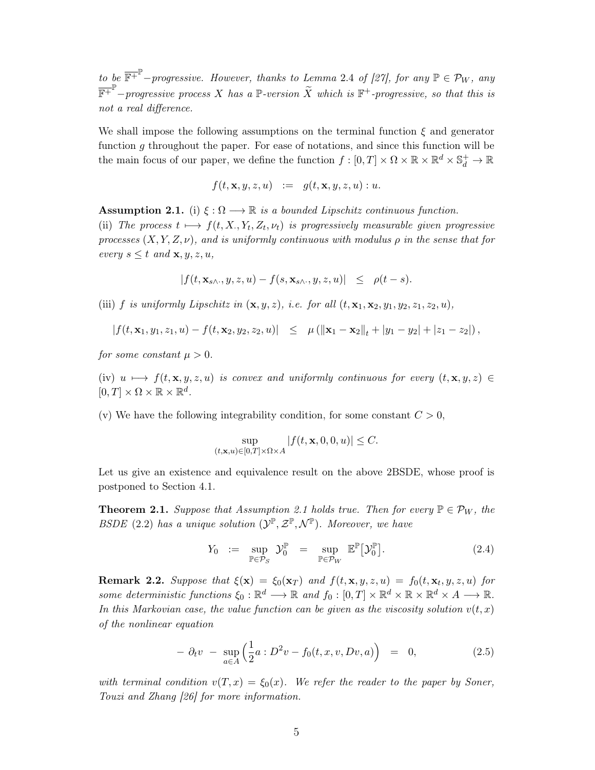to be  $\overline{\mathbb{F}^+}^{\mathbb{P}}$ -progressive. However, thanks to Lemma 2.4 of [27], for any  $\mathbb{P} \in \mathcal{P}_W$ , any  $\overline{\mathbb{F}^+}^{\mathbb{P}}$ -progressive process X has a  $\mathbb{P}$ -version  $\widetilde{X}$  which is  $\mathbb{F}^+$ -progressive, so that this is not a real difference.

We shall impose the following assumptions on the terminal function  $\xi$  and generator function  $q$  throughout the paper. For ease of notations, and since this function will be the main focus of our paper, we define the function  $f:[0,T]\times\Omega\times\mathbb{R}\times\mathbb{R}^d\times\mathbb{S}^+_d\to\mathbb{R}$ 

$$
f(t, \mathbf{x}, y, z, u) \quad := \quad g(t, \mathbf{x}, y, z, u) : u.
$$

**Assumption 2.1.** (i)  $\xi : \Omega \longrightarrow \mathbb{R}$  is a bounded Lipschitz continuous function. (ii) The process  $t \mapsto f(t, X, Y_t, Z_t, \nu_t)$  is progressively measurable given progressive processes  $(X, Y, Z, \nu)$ , and is uniformly continuous with modulus  $\rho$  in the sense that for every  $s \leq t$  and  $\mathbf{x}, y, z, u$ ,

$$
|f(t, \mathbf{x}_{s\wedge\cdot}, y, z, u) - f(s, \mathbf{x}_{s\wedge\cdot}, y, z, u)| \le \rho(t - s).
$$

(iii) f is uniformly Lipschitz in  $(\mathbf{x}, y, z)$ , i.e. for all  $(t, \mathbf{x}_1, \mathbf{x}_2, y_1, y_2, z_1, z_2, u)$ ,

$$
|f(t, \mathbf{x}_1, y_1, z_1, u) - f(t, \mathbf{x}_2, y_2, z_2, u)| \leq \mu (||\mathbf{x}_1 - \mathbf{x}_2||_t + |y_1 - y_2| + |z_1 - z_2|),
$$

for some constant  $\mu > 0$ .

(iv)  $u \mapsto f(t, \mathbf{x}, y, z, u)$  is convex and uniformly continuous for every  $(t, \mathbf{x}, y, z) \in$  $[0,T] \times \Omega \times \mathbb{R} \times \mathbb{R}^d$ .

(v) We have the following integrability condition, for some constant  $C > 0$ ,

$$
\sup_{(t,\mathbf{x},u)\in[0,T]\times\Omega\times A}|f(t,\mathbf{x},0,0,u)|\leq C.
$$

Let us give an existence and equivalence result on the above 2BSDE, whose proof is postponed to Section 4.1.

**Theorem 2.1.** Suppose that Assumption 2.1 holds true. Then for every  $\mathbb{P} \in \mathcal{P}_W$ , the BSDE (2.2) has a unique solution  $(\mathcal{Y}^{\mathbb{P}}, \mathcal{Z}^{\mathbb{P}}, \mathcal{N}^{\mathbb{P}})$ . Moreover, we have

$$
Y_0 := \sup_{\mathbb{P} \in \mathcal{P}_S} \mathcal{Y}_0^{\mathbb{P}} = \sup_{\mathbb{P} \in \mathcal{P}_W} \mathbb{E}^{\mathbb{P}} [\mathcal{Y}_0^{\mathbb{P}}]. \tag{2.4}
$$

**Remark 2.2.** Suppose that  $\xi(\mathbf{x}) = \xi_0(\mathbf{x}_T)$  and  $f(t, \mathbf{x}, y, z, u) = f_0(t, \mathbf{x}_t, y, z, u)$  for some deterministic functions  $\xi_0 : \mathbb{R}^d \longrightarrow \mathbb{R}$  and  $f_0 : [0, T] \times \mathbb{R}^d \times \mathbb{R} \times \mathbb{R}^d \times A \longrightarrow \mathbb{R}$ . In this Markovian case, the value function can be given as the viscosity solution  $v(t, x)$ of the nonlinear equation

$$
- \partial_t v - \sup_{a \in A} \left( \frac{1}{2} a : D^2 v - f_0(t, x, v, Dv, a) \right) = 0, \qquad (2.5)
$$

with terminal condition  $v(T, x) = \xi_0(x)$ . We refer the reader to the paper by Soner, Touzi and Zhang [26] for more information.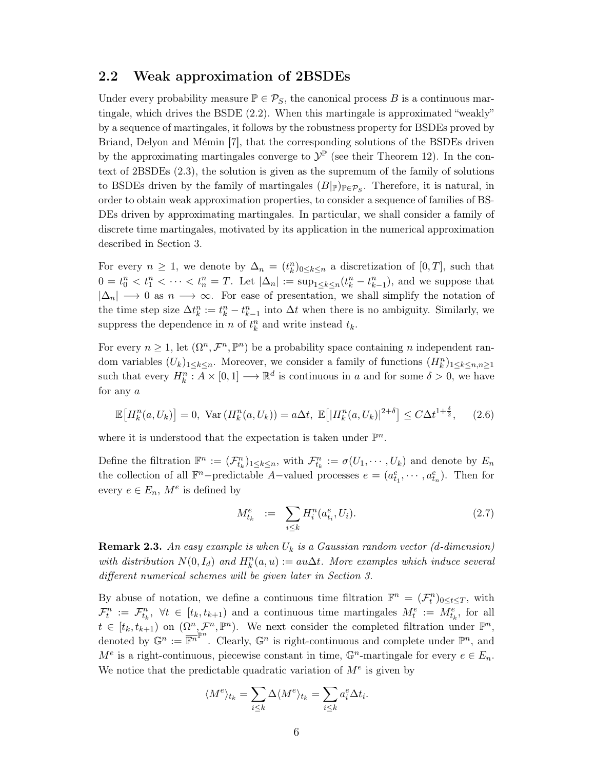#### 2.2 Weak approximation of 2BSDEs

Under every probability measure  $\mathbb{P} \in \mathcal{P}_S$ , the canonical process B is a continuous martingale, which drives the BSDE (2.2). When this martingale is approximated "weakly" by a sequence of martingales, it follows by the robustness property for BSDEs proved by Briand, Delyon and Mémin [7], that the corresponding solutions of the BSDEs driven by the approximating martingales converge to  $\mathcal{Y}^{\mathbb{P}}$  (see their Theorem 12). In the context of  $2BSDEs$   $(2.3)$ , the solution is given as the supremum of the family of solutions to BSDEs driven by the family of martingales  $(B|_{\mathbb{P}})_{\mathbb{P}\in\mathcal{P}_S}$ . Therefore, it is natural, in order to obtain weak approximation properties, to consider a sequence of families of BS-DEs driven by approximating martingales. In particular, we shall consider a family of discrete time martingales, motivated by its application in the numerical approximation described in Section 3.

For every  $n \geq 1$ , we denote by  $\Delta_n = (t_k^n)_{0 \leq k \leq n}$  a discretization of  $[0,T]$ , such that  $0 = t_0^n < t_1^n < \cdots < t_n^n = T$ . Let  $|\Delta_n| := \sup_{1 \leq k \leq n} (t_k^n - t_{k-1}^n)$ , and we suppose that  $|\Delta_n| \longrightarrow 0$  as  $n \longrightarrow \infty$ . For ease of presentation, we shall simplify the notation of the time step size  $\Delta t_k^n := t_k^n - t_{k-1}^n$  into  $\Delta t$  when there is no ambiguity. Similarly, we suppress the dependence in  $n$  of  $t^n_k$  and write instead  $t_k.$ 

For every  $n \geq 1$ , let  $(\Omega^n, \mathcal{F}^n, \mathbb{P}^n)$  be a probability space containing *n* independent random variables  $(U_k)_{1 \leq k \leq n}$ . Moreover, we consider a family of functions  $(H_k^n)_{1 \leq k \leq n, n \geq 1}$ such that every  $H_k^n : A \times [0,1] \longrightarrow \mathbb{R}^d$  is continuous in a and for some  $\delta > 0$ , we have for any  $a$ 

$$
\mathbb{E}\left[H_k^n(a, U_k)\right] = 0, \text{ Var}\left(H_k^n(a, U_k)\right) = a\Delta t, \ \mathbb{E}\left[|H_k^n(a, U_k)|^{2+\delta}\right] \le C\Delta t^{1+\frac{\delta}{2}},\tag{2.6}
$$

where it is understood that the expectation is taken under  $\mathbb{P}^n$ .

Define the filtration  $\mathbb{F}^n := (\mathcal{F}_{t_k}^n)_{1 \leq k \leq n}$ , with  $\mathcal{F}_{t_k}^n := \sigma(U_1, \cdots, U_k)$  and denote by  $E_n$ the collection of all  $\mathbb{F}^n$ -predictable A-valued processes  $e = (a_{t_1}^e, \dots, a_{t_n}^e)$ . Then for every  $e \in E_n$ ,  $M^e$  is defined by

$$
M_{t_k}^e := \sum_{i \le k} H_i^n(a_{t_i}^e, U_i). \tag{2.7}
$$

**Remark 2.3.** An easy example is when  $U_k$  is a Gaussian random vector (d-dimension) with distribution  $N(0, I_d)$  and  $H_k^n(a, u) := au\Delta t$ . More examples which induce several different numerical schemes will be given later in Section 3.

By abuse of notation, we define a continuous time filtration  $\mathbb{F}^n = (\mathcal{F}_t^n)_{0 \le t \le T}$ , with  $\mathcal{F}_t^n := \mathcal{F}_{t_k}^n$ ,  $\forall t \in [t_k, t_{k+1})$  and a continuous time martingales  $M_t^e := M_{t_k}^e$ , for all  $t \in [t_k, t_{k+1}]$  on  $(\Omega^n, \mathcal{F}^n, \mathbb{P}^n)$ . We next consider the completed filtration under  $\mathbb{P}^n$ , denoted by  $\mathbb{G}^n := \overline{\mathbb{F}^n}^{\mathbb{P}^n}$ . Clearly,  $\mathbb{G}^n$  is right-continuous and complete under  $\mathbb{P}^n$ , and  $M^e$  is a right-continuous, piecewise constant in time,  $\mathbb{G}^n$ -martingale for every  $e \in E_n$ . We notice that the predictable quadratic variation of  $M^e$  is given by

$$
\langle M^e \rangle_{t_k} = \sum_{i \le k} \Delta \langle M^e \rangle_{t_k} = \sum_{i \le k} a_i^e \Delta t_i.
$$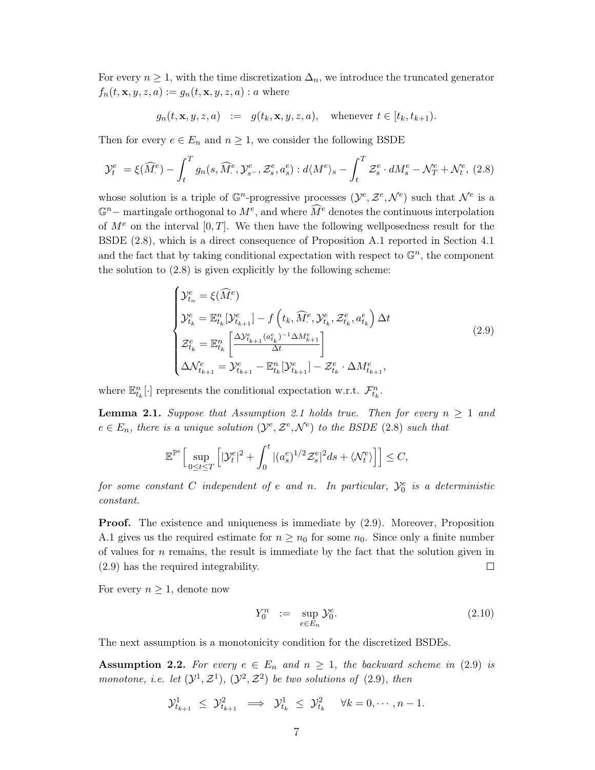For every  $n \geq 1$ , with the time discretization  $\Delta_n$ , we introduce the truncated generator  $f_n(t, \mathbf{x}, y, z, a) := g_n(t, \mathbf{x}, y, z, a) : a$  where

$$
g_n(t, \mathbf{x}, y, z, a) := g(t_k, \mathbf{x}, y, z, a), \text{ whenever } t \in [t_k, t_{k+1})
$$

Then for every  $e \in E_n$  and  $n \geq 1$ , we consider the following BSDE

$$
\mathcal{Y}_t^e = \xi(\widehat{M}_\cdot^e) - \int_t^T g_n(s, \widehat{M}_\cdot^e, \mathcal{Y}_{s^-}^e, \mathcal{Z}_s^e, a_s^e) : d\langle M^e \rangle_s - \int_t^T \mathcal{Z}_s^e \cdot dM_s^e - \mathcal{N}_T^e + \mathcal{N}_t^e, (2.8)
$$

whose solution is a triple of  $\mathbb{G}^n$ -progressive processes  $(\mathcal{Y}^e, \mathcal{Z}^e, \mathcal{N}^e)$  such that  $\mathcal{N}^e$  is a  $\mathbb{G}^n$  – martingale orthogonal to  $M^e$ , and where  $\widehat{M}^e$  denotes the continuous interpolation of  $M^e$  on the interval [0, T]. We then have the following wellposedness result for the BSDE (2.8), which is a direct consequence of Proposition A.1 reported in Section 4.1 and the fact that by taking conditional expectation with respect to  $\mathbb{G}^n$ , the component the solution to  $(2.8)$  is given explicitly by the following scheme:

$$
\begin{cases}\n\mathcal{Y}_{t_{n}}^{e} = \xi(\widehat{M}_{\cdot}^{e}) \\
\mathcal{Y}_{t_{k}}^{e} = \mathbb{E}_{t_{k}}^{n}[\mathcal{Y}_{t_{k+1}}^{e}] - f\left(t_{k}, \widehat{M}_{\cdot}^{e}, \mathcal{Y}_{t_{k}}^{e}, \mathcal{Z}_{t_{k}}^{e}, a_{t_{k}}^{e}\right) \Delta t \\
\mathcal{Z}_{t_{k}}^{e} = \mathbb{E}_{t_{k}}^{n} \left[ \frac{\Delta \mathcal{Y}_{t_{k+1}}^{e} (a_{t_{k}}^{e})^{-1} \Delta M_{k+1}^{e}}{\Delta t} \right] \\
\Delta \mathcal{N}_{t_{k+1}}^{e} = \mathcal{Y}_{t_{k+1}}^{e} - \mathbb{E}_{t_{k}}^{n}[\mathcal{Y}_{t_{k+1}}^{e}] - \mathcal{Z}_{t_{k}}^{e} \cdot \Delta M_{t_{k+1}}^{e},\n\end{cases} (2.9)
$$

where  $\mathbb{E}_{t_k}^n[\cdot]$  represents the conditional expectation w.r.t.  $\mathcal{F}_{t_k}^n$ .

**Lemma 2.1.** Suppose that Assumption 2.1 holds true. Then for every  $n \ge 1$  and  $e \in E_n$ , there is a unique solution  $(\mathcal{Y}^e, \mathcal{Z}^e, \mathcal{N}^e)$  to the BSDE (2.8) such that

$$
\mathbb{E}^{\mathbb{P}^e}\Big[\sup_{0\leq t\leq T}\Big[|\mathcal{Y}_t^e|^2+\int_0^t|(a_s^e)^{1/2}\mathcal{Z}_s^e|^2ds+\langle \mathcal{N}_t^e\rangle\Big]\Big]\leq C,
$$

for some constant C independent of e and n. In particular,  $\mathcal{Y}_0^e$  is a deterministic  $constant.$ 

**Proof.** The existence and uniqueness is immediate by  $(2.9)$ . Moreover, Proposition A.1 gives us the required estimate for  $n \geq n_0$  for some  $n_0$ . Since only a finite number of values for  $n$  remains, the result is immediate by the fact that the solution given in  $(2.9)$  has the required integrability.  $\Box$ 

For every  $n \geq 1$ , denote now

$$
Y_0^n := \sup_{e \in E_n} \mathcal{Y}_0^e. \tag{2.10}
$$

The next assumption is a monotonicity condition for the discretized BSDEs.

**Assumption 2.2.** For every  $e \in E_n$  and  $n \geq 1$ , the backward scheme in (2.9) is monotone, i.e. let  $(\mathcal{Y}^1, \mathcal{Z}^1), (\mathcal{Y}^2, \mathcal{Z}^2)$  be two solutions of (2.9), then

$$
\mathcal{Y}_{t_{k+1}}^1 \leq \mathcal{Y}_{t_{k+1}}^2 \implies \mathcal{Y}_{t_k}^1 \leq \mathcal{Y}_{t_k}^2 \quad \forall k = 0, \cdots, n-1.
$$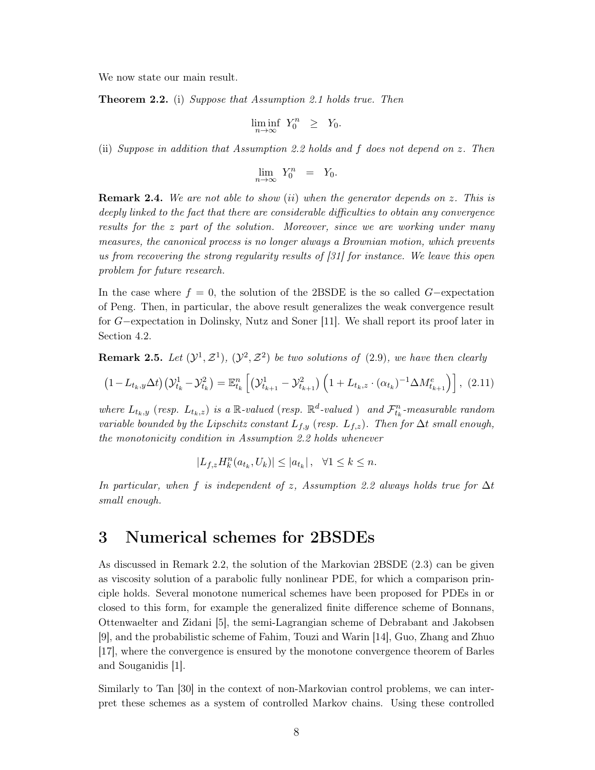We now state our main result.

**Theorem 2.2.** (i) Suppose that Assumption 2.1 holds true. Then

$$
\liminf_{n \to \infty} Y_0^n \geq Y_0.
$$

(ii) Suppose in addition that Assumption 2.2 holds and  $f$  does not depend on  $z$ . Then

$$
\lim_{n \to \infty} Y_0^n = Y_0.
$$

**Remark 2.4.** We are not able to show (ii) when the generator depends on z. This is deeply linked to the fact that there are considerable difficulties to obtain any convergence results for the z part of the solution. Moreover, since we are working under many measures, the canonical process is no longer always a Brownian motion, which prevents us from recovering the strong regularity results of  $[31]$  for instance. We leave this open problem for future research.

In the case where  $f = 0$ , the solution of the 2BSDE is the so called G-expectation of Peng. Then, in particular, the above result generalizes the weak convergence result for  $G$ -expectation in Dolinsky, Nutz and Soner [11]. We shall report its proof later in Section 4.2.

**Remark 2.5.** Let  $(\mathcal{Y}^1, \mathcal{Z}^1)$ ,  $(\mathcal{Y}^2, \mathcal{Z}^2)$  be two solutions of (2.9), we have then clearly

$$
(1 - L_{t_k,y}\Delta t)(\mathcal{Y}_{t_k}^1 - \mathcal{Y}_{t_k}^2) = \mathbb{E}_{t_k}^n \left[ (\mathcal{Y}_{t_{k+1}}^1 - \mathcal{Y}_{t_{k+1}}^2) \left( 1 + L_{t_k,z} \cdot (\alpha_{t_k})^{-1} \Delta M_{t_{k+1}}^e \right) \right], (2.11)
$$

where  $L_{t_k,y}$  (resp.  $L_{t_k,z}$ ) is a R-valued (resp.  $\mathbb{R}^d$ -valued) and  $\mathcal{F}_{t_k}^n$ -measurable random variable bounded by the Lipschitz constant  $L_{f,y}$  (resp.  $L_{f,z}$ ). Then for  $\Delta t$  small enough, the monotonicity condition in Assumption 2.2 holds whenever

$$
L_{f,z}H_k^n(a_{t_k}, U_k)| \leq |a_{t_k}|, \quad \forall 1 \leq k \leq n.
$$

In particular, when f is independent of z, Assumption 2.2 always holds true for  $\Delta t$ small enough.

## 3 Numerical schemes for 2BSDEs

As discussed in Remark 2.2, the solution of the Markovian 2BSDE (2.3) can be given as viscosity solution of a parabolic fully nonlinear PDE, for which a comparison principle holds. Several monotone numerical schemes have been proposed for PDEs in or closed to this form, for example the generalized finite difference scheme of Bonnans, Ottenwaelter and Zidani [5], the semi-Lagrangian scheme of Debrabant and Jakobsen [9], and the probabilistic scheme of Fahim, Touzi and Warin [14], Guo, Zhang and Zhuo [17], where the convergence is ensured by the monotone convergence theorem of Barles and Souganidis [1].

Similarly to Tan [30] in the context of non-Markovian control problems, we can interpret these schemes as a system of controlled Markov chains. Using these controlled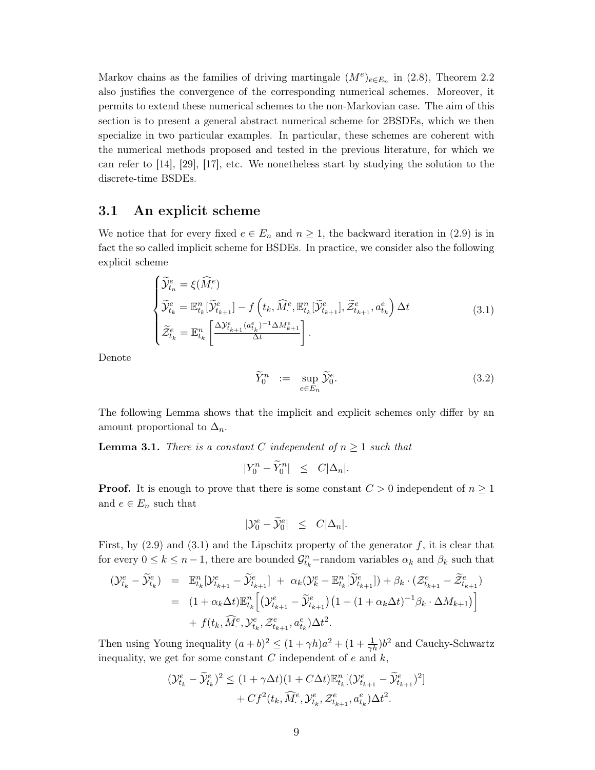Markov chains as the families of driving martingale  $(M^e)_{e \in E_n}$  in (2.8), Theorem 2.2 also justifies the convergence of the corresponding numerical schemes. Moreover, it permits to extend these numerical schemes to the non-Markovian case. The aim of this section is to present a general abstract numerical scheme for 2BSDEs, which we then specialize in two particular examples. In particular, these schemes are coherent with the numerical methods proposed and tested in the previous literature, for which we can refer to  $[14]$ ,  $[29]$ ,  $[17]$ , etc. We nonetheless start by studying the solution to the discrete-time BSDEs.

#### 3.1 An explicit scheme

We notice that for every fixed  $e \in E_n$  and  $n \geq 1$ , the backward iteration in (2.9) is in fact the so called implicit scheme for BSDEs. In practice, we consider also the following explicit scheme

$$
\begin{cases}\n\widetilde{\mathcal{Y}}_{t_{n}}^{e} = \xi(\widehat{M}_{\cdot}^{e}) \\
\widetilde{\mathcal{Y}}_{t_{k}}^{e} = \mathbb{E}_{t_{k}}^{n}[\widetilde{\mathcal{Y}}_{t_{k+1}}^{e}] - f\left(t_{k}, \widehat{M}_{\cdot}^{e}, \mathbb{E}_{t_{k}}^{n}[\widetilde{\mathcal{Y}}_{t_{k+1}}^{e}], \widetilde{\mathcal{Z}}_{t_{k+1}}^{e}, a_{t_{k}}^{e}\right) \Delta t \\
\widetilde{\mathcal{Z}}_{t_{k}}^{e} = \mathbb{E}_{t_{k}}^{n} \left[ \frac{\Delta \mathcal{Y}_{t_{k+1}}^{e}(a_{t_{k}}^{e})^{-1} \Delta M_{k+1}^{e}}{\Delta t} \right].\n\end{cases} (3.1)
$$

Denote

$$
\widetilde{Y}_0^n := \sup_{e \in E_n} \widetilde{\mathcal{Y}}_0^e. \tag{3.2}
$$

The following Lemma shows that the implicit and explicit schemes only differ by an amount proportional to  $\Delta_n$ .

**Lemma 3.1.** There is a constant C independent of  $n \geq 1$  such that

$$
|Y_0^n - \tilde{Y}_0^n| \leq C|\Delta_n|.
$$

**Proof.** It is enough to prove that there is some constant  $C > 0$  independent of  $n \ge 1$ and  $e \in E_n$  such that

$$
|\mathcal{Y}_0^e - \mathcal{Y}_0^e| \leq C|\Delta_n|.
$$

First, by  $(2.9)$  and  $(3.1)$  and the Lipschitz property of the generator f, it is clear that for every  $0 \le k \le n-1$ , there are bounded  $\mathcal{G}_{t_k}^n$ -random variables  $\alpha_k$  and  $\beta_k$  such that

$$
\begin{split} (\mathcal{Y}_{t_k}^e - \widetilde{\mathcal{Y}}_{t_k}^e) &= \mathbb{E}_{t_k}^n [\mathcal{Y}_{t_{k+1}}^e - \widetilde{\mathcal{Y}}_{t_{k+1}}^e] + \alpha_k (\mathcal{Y}_k^e - \mathbb{E}_{t_k}^n [\widetilde{\mathcal{Y}}_{t_{k+1}}^e]) + \beta_k \cdot (\mathcal{Z}_{t_{k+1}}^e - \widetilde{\mathcal{Z}}_{t_{k+1}}^e) \\ &= (1 + \alpha_k \Delta t) \mathbb{E}_{t_k}^n \Big[ (\mathcal{Y}_{t_{k+1}}^e - \widetilde{\mathcal{Y}}_{t_{k+1}}^e) \big( 1 + (1 + \alpha_k \Delta t)^{-1} \beta_k \cdot \Delta M_{k+1} \big) \Big] \\ &+ f(t_k, \widehat{M}_{\cdot}^e, \mathcal{Y}_{t_k}^e, \mathcal{Z}_{t_{k+1}}^e, a_{t_k}^e) \Delta t^2. \end{split}
$$

Then using Young inequality  $(a+b)^2 \leq (1+\gamma h)a^2 + (1+\frac{1}{\gamma h})b^2$  and Cauchy-Schwartz inequality, we get for some constant  $C$  independent of  $e$  and  $k$ ,

$$
(\mathcal{Y}_{t_k}^e - \widetilde{\mathcal{Y}}_{t_k}^e)^2 \le (1 + \gamma \Delta t)(1 + C\Delta t) \mathbb{E}_{t_k}^n [(\mathcal{Y}_{t_{k+1}}^e - \widetilde{\mathcal{Y}}_{t_{k+1}}^e)^2] + Cf^2(t_k, \widehat{M}_{\cdot}^e, \mathcal{Y}_{t_k}^e, \mathcal{Z}_{t_{k+1}}^e, a_{t_k}^e) \Delta t^2.
$$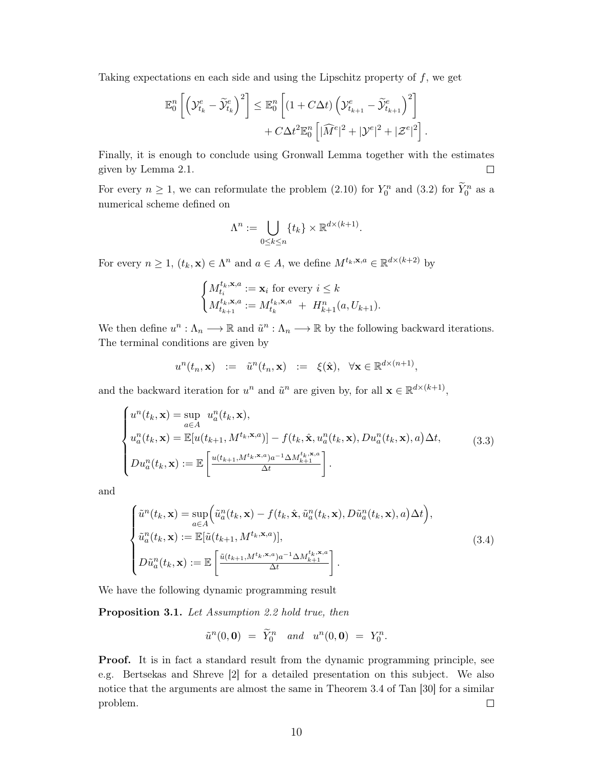Taking expectations en each side and using the Lipschitz property of  $f$ , we get

$$
\mathbb{E}^n_0 \left[ \left( \mathcal{Y}^e_{t_k} - \widetilde{\mathcal{Y}}^e_{t_k} \right)^2 \right] \leq \mathbb{E}^n_0 \left[ \left( 1 + C \Delta t \right) \left( \mathcal{Y}^e_{t_{k+1}} - \widetilde{\mathcal{Y}}^e_{t_{k+1}} \right)^2 \right] + C \Delta t^2 \mathbb{E}^n_0 \left[ |\widehat{M}^e|^2 + |\mathcal{Y}^e|^2 + |\mathcal{Z}^e|^2 \right]
$$

Finally, it is enough to conclude using Gronwall Lemma together with the estimates given by Lemma 2.1.  $\Box$ 

For every  $n \geq 1$ , we can reformulate the problem (2.10) for  $Y_0^n$  and (3.2) for  $\widetilde{Y}_0^n$  as a numerical scheme defined on

$$
\Lambda^n := \bigcup_{0 \le k \le n} \{t_k\} \times \mathbb{R}^{d \times (k+1)}.
$$

For every  $n \geq 1$ ,  $(t_k, \mathbf{x}) \in \Lambda^n$  and  $a \in A$ , we define  $M^{t_k, \mathbf{x}, a} \in \mathbb{R}^{d \times (k+2)}$  by

$$
\begin{cases} M_{t_i}^{t_k, \mathbf{x}, a} := \mathbf{x}_i \text{ for every } i \leq k \\ M_{t_{k+1}}^{t_k, \mathbf{x}, a} := M_{t_k}^{t_k, \mathbf{x}, a} + H_{k+1}^n(a, U_{k+1}). \end{cases}
$$

We then define  $u^n : \Lambda_n \longrightarrow \mathbb{R}$  and  $\tilde{u}^n : \Lambda_n \longrightarrow \mathbb{R}$  by the following backward iterations. The terminal conditions are given by

$$
u^{n}(t_{n}, \mathbf{x}) \quad := \quad \tilde{u}^{n}(t_{n}, \mathbf{x}) \quad := \quad \xi(\hat{\mathbf{x}}), \quad \forall \mathbf{x} \in \mathbb{R}^{d \times (n+1)},
$$

and the backward iteration for  $u^n$  and  $\tilde{u}^n$  are given by, for all  $\mathbf{x} \in \mathbb{R}^{d \times (k+1)}$ ,

$$
\begin{cases}\nu^n(t_k, \mathbf{x}) = \sup_{a \in A} u^n_a(t_k, \mathbf{x}), \\
u^n_a(t_k, \mathbf{x}) = \mathbb{E}[u(t_{k+1}, M^{t_k, \mathbf{x}, a})] - f(t_k, \hat{\mathbf{x}}, u^n_a(t_k, \mathbf{x}), Du^n_a(t_k, \mathbf{x}), a) \Delta t, \\
Du^n_a(t_k, \mathbf{x}) := \mathbb{E}\left[\frac{u(t_{k+1}, M^{t_k, \mathbf{x}, a})a^{-1} \Delta M^{t_k, \mathbf{x}, a}_{k+1}}{\Delta t}\right].\n\end{cases} \tag{3.3}
$$

and

$$
\begin{cases}\n\tilde{u}^{n}(t_{k}, \mathbf{x}) = \sup_{a \in A} \Big( \tilde{u}_{a}^{n}(t_{k}, \mathbf{x}) - f(t_{k}, \hat{\mathbf{x}}, \tilde{u}_{a}^{n}(t_{k}, \mathbf{x}), D\tilde{u}_{a}^{n}(t_{k}, \mathbf{x}), a) \Delta t \Big), \\
\tilde{u}_{a}^{n}(t_{k}, \mathbf{x}) := \mathbb{E}[\tilde{u}(t_{k+1}, M^{t_{k}, \mathbf{x}, a})], \\
D\tilde{u}_{a}^{n}(t_{k}, \mathbf{x}) := \mathbb{E}\left[ \frac{\tilde{u}(t_{k+1}, M^{t_{k}, \mathbf{x}, a})a^{-1} \Delta M_{k+1}^{t_{k}, \mathbf{x}, a}}{\Delta t} \right].\n\end{cases} (3.4)
$$

We have the following dynamic programming result

**Proposition 3.1.** Let Assumption 2.2 hold true, then

$$
\tilde{u}^n(0,0) = \tilde{Y}_0^n \quad and \quad u^n(0,0) = Y_0^n.
$$

**Proof.** It is in fact a standard result from the dynamic programming principle, see e.g. Bertsekas and Shreve [2] for a detailed presentation on this subject. We also notice that the arguments are almost the same in Theorem 3.4 of Tan [30] for a similar problem.  $\Box$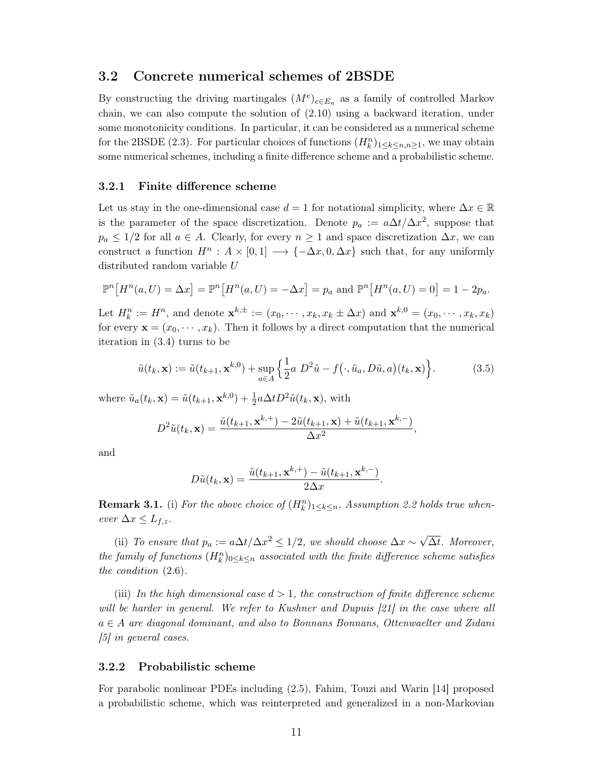#### $3.2$ Concrete numerical schemes of 2BSDE

By constructing the driving martingales  $(M^e)_{e \in E_n}$  as a family of controlled Markov chain, we can also compute the solution of  $(2.10)$  using a backward iteration, under some monotonicity conditions. In particular, it can be considered as a numerical scheme for the 2BSDE (2.3). For particular choices of functions  $(H_k^n)_{1 \leq k \leq n,n \geq 1}$ , we may obtain some numerical schemes, including a finite difference scheme and a probabilistic scheme.

#### Finite difference scheme  $3.2.1$

Let us stay in the one-dimensional case  $d = 1$  for notational simplicity, where  $\Delta x \in \mathbb{R}$ is the parameter of the space discretization. Denote  $p_a := a\Delta t/\Delta x^2$ , suppose that  $p_a \leq 1/2$  for all  $a \in A$ . Clearly, for every  $n \geq 1$  and space discretization  $\Delta x$ , we can construct a function  $H^n: A \times [0,1] \longrightarrow \{-\Delta x, 0, \Delta x\}$  such that, for any uniformly distributed random variable U

$$
\mathbb{P}^n\big[H^n(a, U) = \Delta x\big] = \mathbb{P}^n\big[H^n(a, U) = -\Delta x\big] = p_a \text{ and } \mathbb{P}^n\big[H^n(a, U) = 0\big] = 1 - 2p_a.
$$

Let  $H_k^n := H^n$ , and denote  $\mathbf{x}^{k,\pm} := (x_0, \dots, x_k, x_k \pm \Delta x)$  and  $\mathbf{x}^{k,0} = (x_0, \dots, x_k, x_k)$ for every  $\mathbf{x} = (x_0, \dots, x_k)$ . Then it follows by a direct computation that the numerical iteration in  $(3.4)$  turns to be

$$
\tilde{u}(t_k, \mathbf{x}) := \tilde{u}(t_{k+1}, \mathbf{x}^{k,0}) + \sup_{a \in A} \left\{ \frac{1}{2} a \ D^2 \tilde{u} - f(\cdot, \tilde{u}_a, D\tilde{u}, a)(t_k, \mathbf{x}) \right\}.
$$
\n(3.5)

where  $\tilde{u}_a(t_k, \mathbf{x}) = \tilde{u}(t_{k+1}, \mathbf{x}^{k,0}) + \frac{1}{2} a \Delta t D^2 \tilde{u}(t_k, \mathbf{x})$ , with

$$
D^2\tilde{u}(t_k, \mathbf{x}) = \frac{\tilde{u}(t_{k+1}, \mathbf{x}^{k,+}) - 2\tilde{u}(t_{k+1}, \mathbf{x}) + \tilde{u}(t_{k+1}, \mathbf{x}^{k,-})}{\Delta x^2},
$$

and

$$
D\tilde{u}(t_k, \mathbf{x}) = \frac{\tilde{u}(t_{k+1}, \mathbf{x}^{k,+}) - \tilde{u}(t_{k+1}, \mathbf{x}^{k,-})}{2\Delta x}
$$

**Remark 3.1.** (i) For the above choice of  $(H_k^n)_{1 \leq k \leq n}$ , Assumption 2.2 holds true whenever  $\Delta x \leq L_{f,z}$ .

(ii) To ensure that  $p_a := a\Delta t/\Delta x^2 \leq 1/2$ , we should choose  $\Delta x \sim \sqrt{\Delta t}$ . Moreover, the family of functions  $(H_k^n)_{0 \leq k \leq n}$  associated with the finite difference scheme satisfies the condition  $(2.6)$ .

(iii) In the high dimensional case  $d > 1$ , the construction of finite difference scheme will be harder in general. We refer to Kushner and Dupuis [21] in the case where all  $a \in A$  are diagonal dominant, and also to Bonnans Bonnans, Ottenwaelter and Zidani  $\left[5\right]$  in general cases.

#### $3.2.2$ Probabilistic scheme

For parabolic nonlinear PDEs including (2.5), Fahim, Touzi and Warin [14] proposed a probabilistic scheme, which was reinterpreted and generalized in a non-Markovian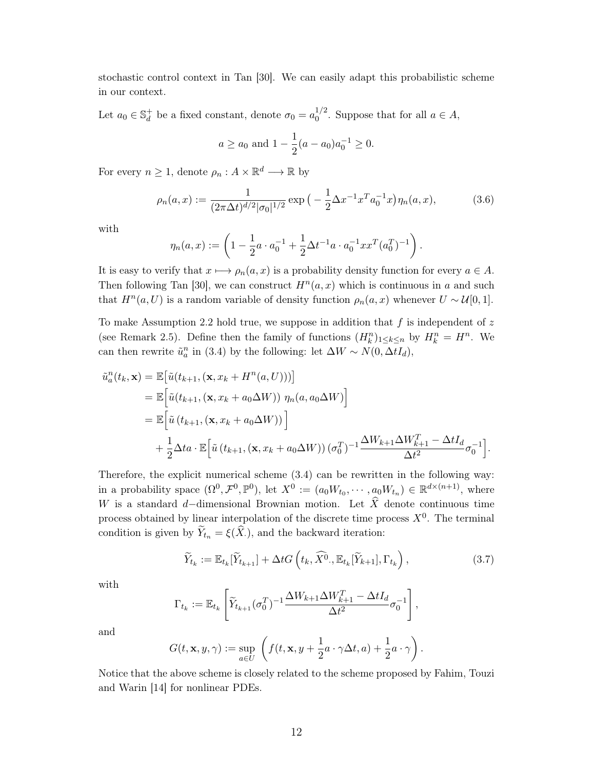stochastic control context in Tan [30]. We can easily adapt this probabilistic scheme in our context.

Let  $a_0 \in \mathbb{S}_d^+$  be a fixed constant, denote  $\sigma_0 = a_0^{1/2}$ . Suppose that for all  $a \in A$ ,

$$
a \ge a_0
$$
 and  $1 - \frac{1}{2}(a - a_0)a_0^{-1} \ge 0$ .

For every  $n \geq 1$ , denote  $\rho_n : A \times \mathbb{R}^d \longrightarrow \mathbb{R}$  by

$$
\rho_n(a,x) := \frac{1}{(2\pi\Delta t)^{d/2} |\sigma_0|^{1/2}} \exp\left(-\frac{1}{2}\Delta x^{-1} x^T a_0^{-1} x\right) \eta_n(a,x),\tag{3.6}
$$

with

$$
\eta_n(a,x) := \left(1 - \frac{1}{2}a \cdot a_0^{-1} + \frac{1}{2}\Delta t^{-1}a \cdot a_0^{-1}xx^T(a_0^T)^{-1}\right).
$$

It is easy to verify that  $x \mapsto \rho_n(a, x)$  is a probability density function for every  $a \in A$ . Then following Tan [30], we can construct  $H<sup>n</sup>(a, x)$  which is continuous in a and such that  $H^n(a, U)$  is a random variable of density function  $\rho_n(a, x)$  whenever  $U \sim \mathcal{U}[0, 1]$ .

To make Assumption 2.2 hold true, we suppose in addition that  $f$  is independent of  $z$ (see Remark 2.5). Define then the family of functions  $(H_k^n)_{1 \leq k \leq n}$  by  $H_k^n = H^n$ . We can then rewrite  $\tilde{u}_a^n$  in (3.4) by the following: let  $\Delta W \sim N(0, \Delta t I_d)$ ,

$$
\tilde{u}_a^n(t_k, \mathbf{x}) = \mathbb{E}\big[\tilde{u}(t_{k+1}, (\mathbf{x}, x_k + H^n(a, U)))\big]
$$
\n
$$
= \mathbb{E}\big[\tilde{u}(t_{k+1}, (\mathbf{x}, x_k + a_0 \Delta W)) \eta_n(a, a_0 \Delta W)\big]
$$
\n
$$
= \mathbb{E}\big[\tilde{u}(t_{k+1}, (\mathbf{x}, x_k + a_0 \Delta W))\big]
$$
\n
$$
+ \frac{1}{2}\Delta t a \cdot \mathbb{E}\big[\tilde{u}(t_{k+1}, (\mathbf{x}, x_k + a_0 \Delta W))(\sigma_0^T)^{-1} \frac{\Delta W_{k+1} \Delta W_{k+1}^T - \Delta t I_d}{\Delta t^2} \sigma_0^{-1}\big].
$$

Therefore, the explicit numerical scheme  $(3.4)$  can be rewritten in the following way: in a probability space  $(\Omega^0, \mathcal{F}^0, \mathbb{P}^0)$ , let  $X^0 := (a_0W_{t_0}, \cdots, a_0W_{t_n}) \in \mathbb{R}^{d \times (n+1)}$ , where W is a standard d-dimensional Brownian motion. Let  $\hat{X}$  denote continuous time process obtained by linear interpolation of the discrete time process  $X^0$ . The terminal condition is given by  $\widetilde{Y}_{t_n} = \xi(\widehat{X})$ , and the backward iteration:

$$
\widetilde{Y}_{t_k} := \mathbb{E}_{t_k}[\widetilde{Y}_{t_{k+1}}] + \Delta t G\left(t_k, \widehat{X}^0, \mathbb{E}_{t_k}[\widetilde{Y}_{k+1}], \Gamma_{t_k}\right),\tag{3.7}
$$

with

$$
\Gamma_{t_k} := \mathbb{E}_{t_k} \left[ \widetilde{Y}_{t_{k+1}}(\sigma_0^T)^{-1} \frac{\Delta W_{k+1} \Delta W_{k+1}^T - \Delta t I_d}{\Delta t^2} \sigma_0^{-1} \right],
$$

and

$$
G(t, \mathbf{x}, y, \gamma) := \sup_{a \in U} \left( f(t, \mathbf{x}, y + \frac{1}{2}a \cdot \gamma \Delta t, a) + \frac{1}{2}a \cdot \gamma \right)
$$

Notice that the above scheme is closely related to the scheme proposed by Fahim, Touzi and Warin [14] for nonlinear PDEs.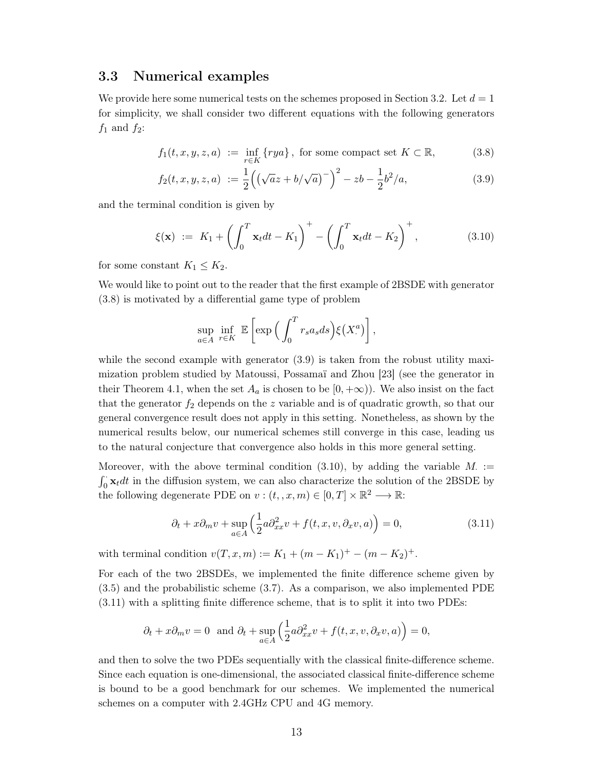#### 3.3 Numerical examples

We provide here some numerical tests on the schemes proposed in Section 3.2. Let  $d=1$ for simplicity, we shall consider two different equations with the following generators  $f_1$  and  $f_2$ :

$$
f_1(t, x, y, z, a) := \inf_{r \in K} \{rya\}, \text{ for some compact set } K \subset \mathbb{R}, \tag{3.8}
$$

$$
f_2(t, x, y, z, a) := \frac{1}{2} \left( \left( \sqrt{a} z + b / \sqrt{a} \right)^{-} \right)^2 - zb - \frac{1}{2} b^2 / a, \tag{3.9}
$$

and the terminal condition is given by

$$
\xi(\mathbf{x}) \ := \ K_1 + \left( \int_0^T \mathbf{x}_t dt - K_1 \right)^+ - \left( \int_0^T \mathbf{x}_t dt - K_2 \right)^+, \tag{3.10}
$$

for some constant  $K_1 \leq K_2$ .

We would like to point out to the reader that the first example of 2BSDE with generator  $(3.8)$  is motivated by a differential game type of problem

$$
\sup_{a\in A} \inf_{r\in K} \mathbb{E}\left[\exp\left(\int_0^T r_s a_s ds\right) \xi(X_\cdot^a)\right],
$$

while the second example with generator  $(3.9)$  is taken from the robust utility maximization problem studied by Matoussi, Possamaï and Zhou [23] (see the generator in their Theorem 4.1, when the set  $A_a$  is chosen to be  $[0, +\infty)$ ). We also insist on the fact that the generator  $f_2$  depends on the z variable and is of quadratic growth, so that our general convergence result does not apply in this setting. Nonetheless, as shown by the numerical results below, our numerical schemes still converge in this case, leading us to the natural conjecture that convergence also holds in this more general setting.

Moreover, with the above terminal condition (3.10), by adding the variable  $M$ .  $\int_0^{\cdot} \mathbf{x}_t dt$  in the diffusion system, we can also characterize the solution of the 2BSDE by the following degenerate PDE on  $v:(t_1,x,m)\in[0,T]\times\mathbb{R}^2\longrightarrow\mathbb{R}$ :

$$
\partial_t + x \partial_m v + \sup_{a \in A} \left( \frac{1}{2} a \partial_{xx}^2 v + f(t, x, v, \partial_x v, a) \right) = 0, \tag{3.11}
$$

with terminal condition  $v(T, x, m) := K_1 + (m - K_1)^+ - (m - K_2)^+$ .

For each of the two 2BSDEs, we implemented the finite difference scheme given by  $(3.5)$  and the probabilistic scheme  $(3.7)$ . As a comparison, we also implemented PDE  $(3.11)$  with a splitting finite difference scheme, that is to split it into two PDEs:

$$
\partial_t + x\partial_m v = 0
$$
 and  $\partial_t + \sup_{a \in A} \left( \frac{1}{2} a \partial_{xx}^2 v + f(t, x, v, \partial_x v, a) \right) = 0$ ,

and then to solve the two PDEs sequentially with the classical finite-difference scheme. Since each equation is one-dimensional, the associated classical finite-difference scheme is bound to be a good benchmark for our schemes. We implemented the numerical schemes on a computer with 2.4GHz CPU and 4G memory.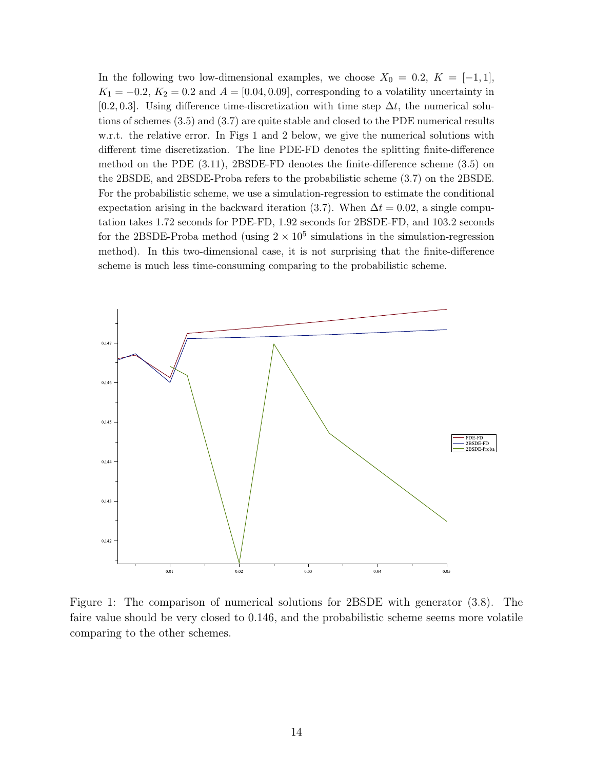In the following two low-dimensional examples, we choose  $X_0 = 0.2$ ,  $K = [-1, 1]$ ,  $K_1 = -0.2$ ,  $K_2 = 0.2$  and  $A = [0.04, 0.09]$ , corresponding to a volatility uncertainty in [0.2, 0.3]. Using difference time-discretization with time step  $\Delta t$ , the numerical solutions of schemes  $(3.5)$  and  $(3.7)$  are quite stable and closed to the PDE numerical results w.r.t. the relative error. In Figs 1 and 2 below, we give the numerical solutions with different time discretization. The line PDE-FD denotes the splitting finite-difference method on the PDE  $(3.11)$ , 2BSDE-FD denotes the finite-difference scheme  $(3.5)$  on the 2BSDE, and 2BSDE-Proba refers to the probabilistic scheme  $(3.7)$  on the 2BSDE. For the probabilistic scheme, we use a simulation-regression to estimate the conditional expectation arising in the backward iteration (3.7). When  $\Delta t = 0.02$ , a single computation takes 1.72 seconds for PDE-FD, 1.92 seconds for 2BSDE-FD, and 103.2 seconds for the 2BSDE-Proba method (using  $2 \times 10^5$  simulations in the simulation-regression method). In this two-dimensional case, it is not surprising that the finite-difference scheme is much less time-consuming comparing to the probabilistic scheme.



Figure 1: The comparison of numerical solutions for 2BSDE with generator (3.8). The faire value should be very closed to 0.146, and the probabilistic scheme seems more volatile comparing to the other schemes.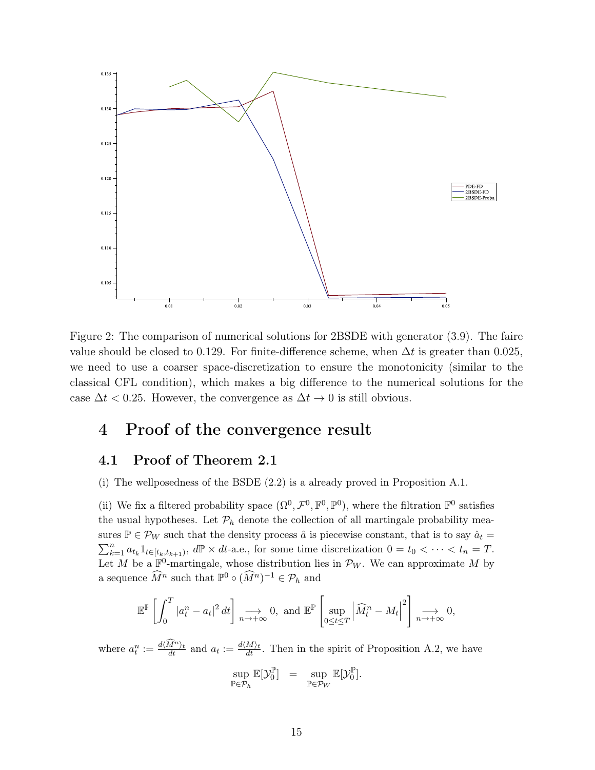

Figure 2: The comparison of numerical solutions for 2BSDE with generator (3.9). The faire value should be closed to 0.129. For finite-difference scheme, when  $\Delta t$  is greater than 0.025, we need to use a coarser space-discretization to ensure the monotonicity (similar to the classical CFL condition), which makes a big difference to the numerical solutions for the case  $\Delta t$  < 0.25. However, the convergence as  $\Delta t \rightarrow 0$  is still obvious.

## Proof of the convergence result  $\overline{4}$

#### 4.1 Proof of Theorem 2.1

(i) The wellposedness of the BSDE  $(2.2)$  is a already proved in Proposition A.1.

(ii) We fix a filtered probability space  $(\Omega^0, \mathcal{F}^0, \mathbb{F}^0, \mathbb{P}^0)$ , where the filtration  $\mathbb{F}^0$  satisfies the usual hypotheses. Let  $\mathcal{P}_h$  denote the collection of all martingale probability measures  $\mathbb{P} \in \mathcal{P}_W$  such that the density process  $\hat{a}$  is piecewise constant, that is to say  $\hat{a}_t =$  $\sum_{k=1}^{n} a_{t_k} 1_{t \in [t_k, t_{k+1})}$ ,  $d\mathbb{P} \times dt$ -a.e., for some time discretization  $0 = t_0 < \cdots < t_n = T$ . Let M be a  $\mathbb{F}^0$ -martingale, whose distribution lies in  $\mathcal{P}_W$ . We can approximate M by a sequence  $\widehat{M}^n$  such that  $\mathbb{P}^0 \circ (\widehat{M}^n)^{-1} \in \mathcal{P}_h$  and

$$
\mathbb{E}^{\mathbb{P}}\left[\int_{0}^{T} |a_{t}^{n}-a_{t}|^{2} dt\right] \underset{n\to+\infty}{\longrightarrow} 0, \text{ and } \mathbb{E}^{\mathbb{P}}\left[\sup_{0\leq t\leq T} \left|\widehat{M}_{t}^{n}-M_{t}\right|^{2}\right] \underset{n\to+\infty}{\longrightarrow} 0,
$$

where  $a_t^n := \frac{d(\widehat{M}^n)_t}{dt}$  and  $a_t := \frac{d(M)_t}{dt}$ . Then in the spirit of Proposition A.2, we have

$$
\sup_{\mathbb{P}\in \mathcal{P}_h}\mathbb{E}[\mathcal{Y}_0^{\mathbb{P}}] = \sup_{\mathbb{P}\in \mathcal{P}_W}\mathbb{E}[\mathcal{Y}_0^{\mathbb{P}}].
$$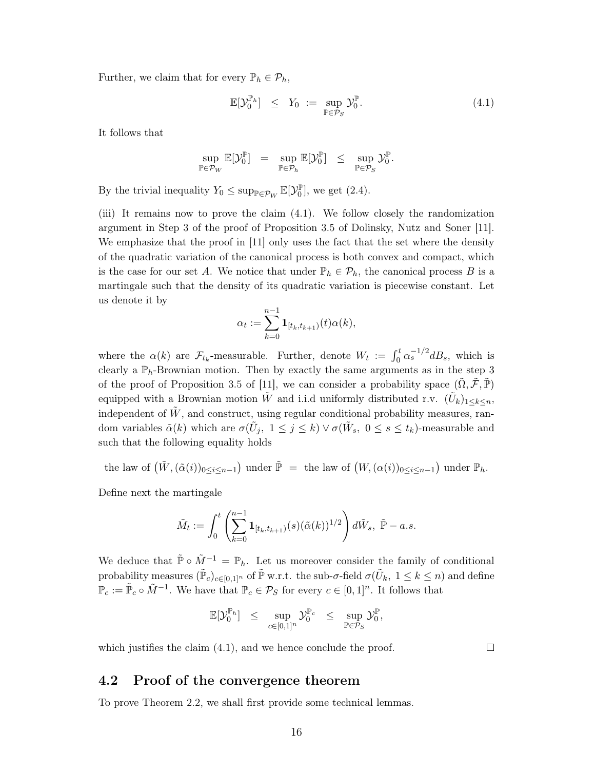Further, we claim that for every  $\mathbb{P}_h \in \mathcal{P}_h$ ,

$$
\mathbb{E}[\mathcal{Y}_0^{\mathbb{P}_h}] \leq Y_0 := \sup_{\mathbb{P}\in\mathcal{P}_S} \mathcal{Y}_0^{\mathbb{P}}.
$$
\n(4.1)

It follows that

$$
\sup_{\mathbb{P}\in\mathcal{P}_W}\mathbb{E}[\mathcal{Y}_0^{\mathbb{P}}] = \sup_{\mathbb{P}\in\mathcal{P}_h}\mathbb{E}[\mathcal{Y}_0^{\mathbb{P}}] \leq \sup_{\mathbb{P}\in\mathcal{P}_S}\mathcal{Y}_0^{\mathbb{P}}
$$

By the trivial inequality  $Y_0 \leq \sup_{\mathbb{P} \in \mathcal{P}_W} \mathbb{E}[\mathcal{Y}_0^{\mathbb{P}}]$ , we get (2.4).

(iii) It remains now to prove the claim (4.1). We follow closely the randomization argument in Step 3 of the proof of Proposition 3.5 of Dolinsky, Nutz and Soner [11]. We emphasize that the proof in [11] only uses the fact that the set where the density of the quadratic variation of the canonical process is both convex and compact, which is the case for our set A. We notice that under  $\mathbb{P}_h \in \mathcal{P}_h$ , the canonical process B is a martingale such that the density of its quadratic variation is piecewise constant. Let us denote it by

$$
\alpha_t := \sum_{k=0}^{n-1} \mathbf{1}_{[t_k, t_{k+1})}(t) \alpha(k),
$$

where the  $\alpha(k)$  are  $\mathcal{F}_{t_k}$ -measurable. Further, denote  $W_t := \int_0^t \alpha_s^{-1/2} dB_s$ , which is clearly a  $\mathbb{P}_h$ -Brownian motion. Then by exactly the same arguments as in the step 3 of the proof of Proposition 3.5 of [11], we can consider a probability space  $(\Omega, \mathcal{F}, \mathbb{P})$ equipped with a Brownian motion W and i.i.d uniformly distributed r.v.  $(\tilde{U}_k)_{1 \leq k \leq n}$ , independent of  $\tilde{W}$ , and construct, using regular conditional probability measures, random variables  $\tilde{\alpha}(k)$  which are  $\sigma(\tilde{U}_j, 1 \leq j \leq k) \vee \sigma(\tilde{W}_s, 0 \leq s \leq t_k)$ -measurable and such that the following equality holds

the law of  $(\tilde{W}, (\tilde{\alpha}(i))_{0 \le i \le n-1})$  under  $\tilde{\mathbb{P}} =$  the law of  $(W, (\alpha(i))_{0 \le i \le n-1})$  under  $\mathbb{P}_h$ .

Define next the martingale

$$
\tilde{M}_t := \int_0^t \left( \sum_{k=0}^{n-1} \mathbf{1}_{[t_k, t_{k+1})}(s) (\tilde{\alpha}(k))^{1/2} \right) d\tilde{W}_s, \ \tilde{\mathbb{P}} - a.s.
$$

We deduce that  $\tilde{\mathbb{P}} \circ \tilde{M}^{-1} = \mathbb{P}_h$ . Let us moreover consider the family of conditional probability measures  $(\tilde{\mathbb{P}}_c)_{c\in[0,1]^n}$  of  $\tilde{\mathbb{P}}$  w.r.t. the sub- $\sigma$ -field  $\sigma(\tilde{U}_k, 1 \leq k \leq n)$  and define  $\mathbb{P}_c := \tilde{\mathbb{P}}_c \circ \tilde{M}^{-1}$ . We have that  $\mathbb{P}_c \in \mathcal{P}_S$  for every  $c \in [0,1]^n$ . It follows that

$$
\mathbb{E}[\mathcal{Y}_0^{\mathbb{P}_h}] \quad \leq \quad \sup_{c \in [0,1]^n} \mathcal{Y}_0^{\mathbb{P}_c} \quad \leq \quad \sup_{\mathbb{P} \in \mathcal{P}_S} \mathcal{Y}_0^{\mathbb{P}}
$$

which justifies the claim  $(4.1)$ , and we hence conclude the proof.

 $\Box$ 

#### 4.2 Proof of the convergence theorem

To prove Theorem 2.2, we shall first provide some technical lemmas.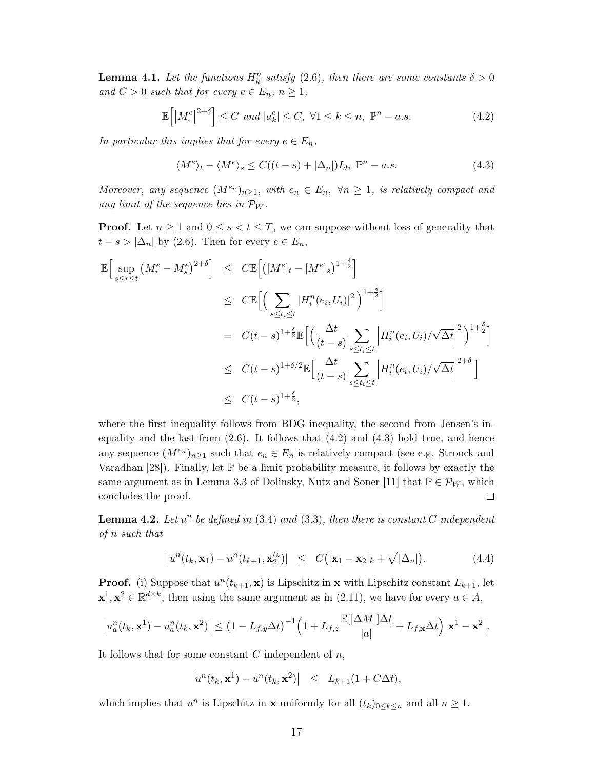**Lemma 4.1.** Let the functions  $H_k^n$  satisfy (2.6), then there are some constants  $\delta > 0$ and  $C > 0$  such that for every  $e \in E_n$ ,  $n \geq 1$ ,

$$
\mathbb{E}\left[\left|M_{\cdot}^{e}\right|^{2+\delta}\right] \leq C \text{ and } |a_{k}^{e}| \leq C, \ \forall 1 \leq k \leq n, \ \mathbb{P}^{n}-a.s. \tag{4.2}
$$

In particular this implies that for every  $e \in E_n$ ,

$$
\langle M^e \rangle_t - \langle M^e \rangle_s \le C((t - s) + |\Delta_n|)I_d, \ \mathbb{P}^n - a.s. \tag{4.3}
$$

Moreover, any sequence  $(M^{e_n})_{n\geq 1}$ , with  $e_n \in E_n$ ,  $\forall n \geq 1$ , is relatively compact and any limit of the sequence lies in  $\mathcal{P}_W$ .

**Proof.** Let  $n \geq 1$  and  $0 \leq s < t \leq T$ , we can suppose without loss of generality that  $t-s > |\Delta_n|$  by (2.6). Then for every  $e \in E_n$ ,

$$
\mathbb{E}\Big[\sup_{s\leq r\leq t} (M_r^e - M_s^e)^{2+\delta}\Big] \leq C \mathbb{E}\Big[\big([M^e]_t - [M^e]_s\big)^{1+\frac{\delta}{2}}\Big] \n\leq C \mathbb{E}\Big[\Big(\sum_{s\leq t_i\leq t} |H_i^n(e_i, U_i)|^2\Big)^{1+\frac{\delta}{2}}\Big] \n= C(t-s)^{1+\frac{\delta}{2}} \mathbb{E}\Big[\Big(\frac{\Delta t}{(t-s)}\sum_{s\leq t_i\leq t} \Big|H_i^n(e_i, U_i)/\sqrt{\Delta t}\Big|^2\Big)^{1+\frac{\delta}{2}}\Big] \n\leq C(t-s)^{1+\delta/2} \mathbb{E}\Big[\frac{\Delta t}{(t-s)}\sum_{s\leq t_i\leq t} \Big|H_i^n(e_i, U_i)/\sqrt{\Delta t}\Big|^{2+\delta}\Big] \n\leq C(t-s)^{1+\frac{\delta}{2}},
$$

where the first inequality follows from BDG inequality, the second from Jensen's inequality and the last from  $(2.6)$ . It follows that  $(4.2)$  and  $(4.3)$  hold true, and hence any sequence  $(M^{e_n})_{n\geq 1}$  such that  $e_n \in E_n$  is relatively compact (see e.g. Stroock and Varadhan [28]). Finally, let  $\mathbb P$  be a limit probability measure, it follows by exactly the same argument as in Lemma 3.3 of Dolinsky, Nutz and Soner [11] that  $\mathbb{P} \in \mathcal{P}_W$ , which concludes the proof.  $\Box$ 

**Lemma 4.2.** Let  $u^n$  be defined in (3.4) and (3.3), then there is constant C independent  $of n such that$ 

$$
|u^n(t_k, \mathbf{x}_1) - u^n(t_{k+1}, \mathbf{x}_2^{t_k})| \leq C\big(|\mathbf{x}_1 - \mathbf{x}_2| + \sqrt{|\Delta_n|}\big). \tag{4.4}
$$

**Proof.** (i) Suppose that  $u^n(t_{k+1}, \mathbf{x})$  is Lipschitz in **x** with Lipschitz constant  $L_{k+1}$ , let  $\mathbf{x}^1, \mathbf{x}^2 \in \mathbb{R}^{d \times k}$ , then using the same argument as in (2.11), we have for every  $a \in A$ ,

$$
\left|u_a^n(t_k,\mathbf{x}^1)-u_a^n(t_k,\mathbf{x}^2)\right|\leq \left(1-L_{f,y}\Delta t\right)^{-1}\left(1+L_{f,z}\frac{\mathbb{E}[|\Delta M|]\Delta t}{|a|}+L_{f,\mathbf{x}}\Delta t\right)|\mathbf{x}^1-\mathbf{x}^2|.
$$

It follows that for some constant  $C$  independent of  $n$ ,

$$
\left|u^{n}(t_{k}, \mathbf{x}^{1})-u^{n}(t_{k}, \mathbf{x}^{2})\right| \leq L_{k+1}(1+C\Delta t),
$$

which implies that  $u^n$  is Lipschitz in **x** uniformly for all  $(t_k)_{0 \leq k \leq n}$  and all  $n \geq 1$ .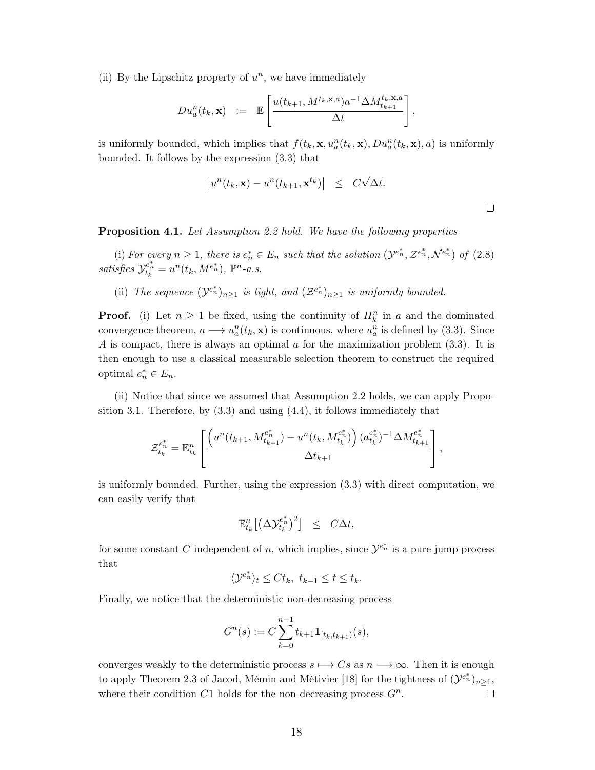(ii) By the Lipschitz property of  $u^n$ , we have immediately

$$
Du_a^n(t_k, \mathbf{x}) \quad := \quad \mathbb{E}\left[\frac{u(t_{k+1}, M^{t_k, \mathbf{x}, a})a^{-1}\Delta M_{t_{k+1}}^{t_k, \mathbf{x}, a}}{\Delta t}\right]
$$

is uniformly bounded, which implies that  $f(t_k, \mathbf{x}, u_a^n(t_k, \mathbf{x}), Du_a^n(t_k, \mathbf{x}), a)$  is uniformly bounded. It follows by the expression  $(3.3)$  that

$$
\left|u^{n}(t_{k}, \mathbf{x})-u^{n}(t_{k+1}, \mathbf{x}^{t_{k}})\right| \leq C\sqrt{\Delta t}.
$$

 $\Box$ 

**Proposition 4.1.** Let Assumption 2.2 hold. We have the following properties

(i) For every  $n \geq 1$ , there is  $e_n^* \in E_n$  such that the solution  $(\mathcal{Y}^{e_n^*}, \mathcal{Z}^{e_n^*}, \mathcal{N}^{e_n^*})$  of  $(2.8)$ satisfies  $\mathcal{Y}_{t_k}^{e_n^*} = u^n(t_k, M^{e_n^*}), \; \mathbb{P}^n$ -a.s.

(ii) The sequence  $(\mathcal{Y}^{e_n^*})_{n\geq 1}$  is tight, and  $(\mathcal{Z}^{e_n^*})_{n\geq 1}$  is uniformly bounded.

**Proof.** (i) Let  $n \geq 1$  be fixed, using the continuity of  $H_k^n$  in a and the dominated convergence theorem,  $a \mapsto u_a^n(t_k, \mathbf{x})$  is continuous, where  $u_a^n$  is defined by (3.3). Since A is compact, there is always an optimal a for the maximization problem  $(3.3)$ . It is then enough to use a classical measurable selection theorem to construct the required optimal  $e_n^* \in E_n$ .

(ii) Notice that since we assumed that Assumption 2.2 holds, we can apply Proposition 3.1. Therefore, by  $(3.3)$  and using  $(4.4)$ , it follows immediately that

$$
\mathcal{Z}_{t_k}^{e_n^*} = \mathbb{E}_{t_k}^n \left[ \frac{\left(u^n(t_{k+1}, M_{t_{k+1}}^{e_n^*}) - u^n(t_k, M_{t_k}^{e_n^*})\right)(a_{t_k}^{e_n^*})^{-1} \Delta M_{t_{k+1}}^{e_n^*}}{\Delta t_{k+1}} \right]
$$

is uniformly bounded. Further, using the expression  $(3.3)$  with direct computation, we can easily verify that

$$
\mathbb{E}_{t_k}^n \big[ \big( \Delta \mathcal{Y}_{t_k}^{e_n^*} \big)^2 \big] \quad \leq \quad C \Delta t,
$$

for some constant C independent of n, which implies, since  $\mathcal{Y}^{e_n^*}$  is a pure jump process that

$$
\langle \mathcal{Y}^{e_n^*} \rangle_t \leq Ct_k, \ t_{k-1} \leq t \leq t_k.
$$

Finally, we notice that the deterministic non-decreasing process

$$
G^{n}(s) := C \sum_{k=0}^{n-1} t_{k+1} \mathbf{1}_{[t_k, t_{k+1})}(s),
$$

converges weakly to the deterministic process  $s \mapsto Cs$  as  $n \longrightarrow \infty$ . Then it is enough to apply Theorem 2.3 of Jacod, Mémin and Métivier [18] for the tightness of  $({\cal Y}^{e^*_{n}})_{n\geq 1}$ , where their condition  $C1$  holds for the non-decreasing process  $G<sup>n</sup>$ .  $\Box$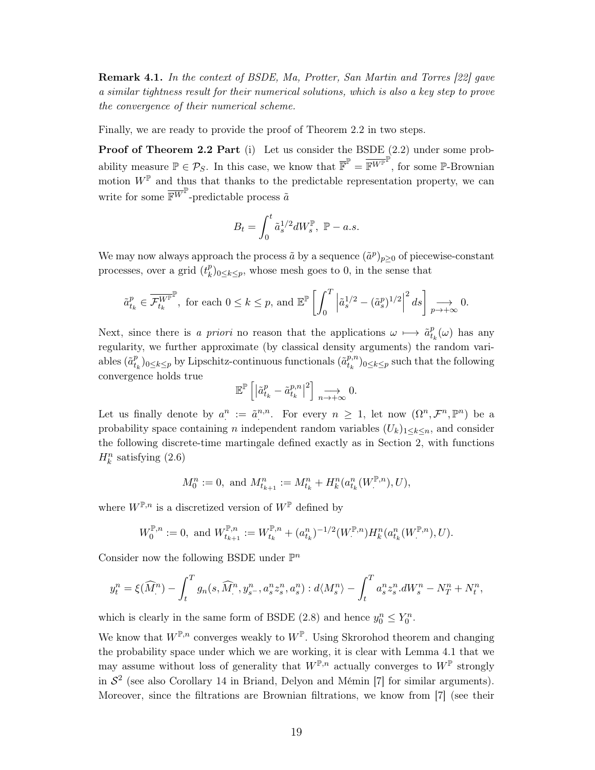**Remark 4.1.** In the context of BSDE, Ma, Protter, San Martin and Torres [22] gave a similar tightness result for their numerical solutions, which is also a key step to prove the convergence of their numerical scheme.

Finally, we are ready to provide the proof of Theorem 2.2 in two steps.

**Proof of Theorem 2.2 Part** (i) Let us consider the BSDE  $(2.2)$  under some probability measure  $\mathbb{P} \in \mathcal{P}_S$ . In this case, we know that  $\overline{\mathbb{F}}^{\mathbb{P}} = \overline{\mathbb{F}^{W^{\mathbb{P}}}}^{\mathbb{P}}$ , for some  $\mathbb{P}$ -Brownian motion  $W^{\mathbb{P}}$  and thus that thanks to the predictable representation property, we can write for some  $\overline{\mathbb{F}^W}^{\mathbb{P}}$ -predictable process  $\tilde{a}$ 

$$
B_t = \int_0^t \tilde{a}_s^{1/2} dW_s^{\mathbb{P}}, \ \mathbb{P}-a.s
$$

We may now always approach the process  $\tilde{a}$  by a sequence  $(\tilde{a}^p)_{p\geq 0}$  of piecewise-constant processes, over a grid  $(t_k^p)_{0 \leq k \leq p}$ , whose mesh goes to 0, in the sense that

$$
\tilde{a}_{t_k}^p \in \overline{\mathcal{F}_{t_k}^{W^{\mathbb{P}}}}^{\mathbb{P}}, \text{ for each } 0 \le k \le p \text{, and } \mathbb{E}^{\mathbb{P}} \left[ \int_0^T \left| \tilde{a}_s^{1/2} - (\tilde{a}_s^p)^{1/2} \right|^2 ds \right] \underset{p \to +\infty}{\longrightarrow} 0
$$

Next, since there is a priori no reason that the applications  $\omega \mapsto \tilde{a}_{t_k}^p(\omega)$  has any regularity, we further approximate (by classical density arguments) the random variables  $(\tilde{a}_{t_k}^p)_{0 \leq k \leq p}$  by Lipschitz-continuous functionals  $(\tilde{a}_{t_k}^{p,n})_{0 \leq k \leq p}$  such that the following convergence holds true

$$
\mathbb{E}^{\mathbb{P}}\left[\left|\tilde{a}_{t_{k}}^{p}-\tilde{a}_{t_{k}}^{p,n}\right|^{2}\right]\underset{n\rightarrow+\infty}{\longrightarrow}0
$$

Let us finally denote by  $a^n := \tilde{a}^{n,n}$ . For every  $n \geq 1$ , let now  $(\Omega^n, \mathcal{F}^n, \mathbb{P}^n)$  be a probability space containing *n* independent random variables  $(U_k)_{1 \leq k \leq n}$ , and consider the following discrete-time martingale defined exactly as in Section 2, with functions  $H_k^n$  satisfying  $(2.6)$ 

$$
M_0^n := 0, \text{ and } M_{t_{k+1}}^n := M_{t_k}^n + H_k^n(a_{t_k}^n(W^{\mathbb{P},n}), U),
$$

where  $W^{\mathbb{P},n}$  is a discretized version of  $W^{\mathbb{P}}$  defined by

$$
W_0^{\mathbb{P},n} := 0, \text{ and } W_{t_{k+1}}^{\mathbb{P},n} := W_{t_k}^{\mathbb{P},n} + (a_{t_k}^n)^{-1/2} (W_{\cdot}^{\mathbb{P},n}) H_k^n(a_{t_k}^n(W_{\cdot}^{\mathbb{P},n}), U).
$$

Consider now the following BSDE under  $\mathbb{P}^n$ 

$$
y_t^n = \xi(\widehat{M}^n) - \int_t^T g_n(s, \widehat{M}^n, y_{s^-}^n, a_s^n z_s^n, a_s^n) : d\langle M^n_s \rangle - \int_t^T a_s^n z_s^n dW_s^n - N^n_T + N^n_t,
$$

which is clearly in the same form of BSDE (2.8) and hence  $y_0^n \le Y_0^n$ .

We know that  $W^{\mathbb{P},n}$  converges weakly to  $W^{\mathbb{P}}$ . Using Skrorohod theorem and changing the probability space under which we are working, it is clear with Lemma 4.1 that we may assume without loss of generality that  $W^{\mathbb{P},n}$  actually converges to  $W^{\mathbb{P}}$  strongly in  $S<sup>2</sup>$  (see also Corollary 14 in Briand, Delyon and Mémin [7] for similar arguments). Moreover, since the filtrations are Brownian filtrations, we know from [7] (see their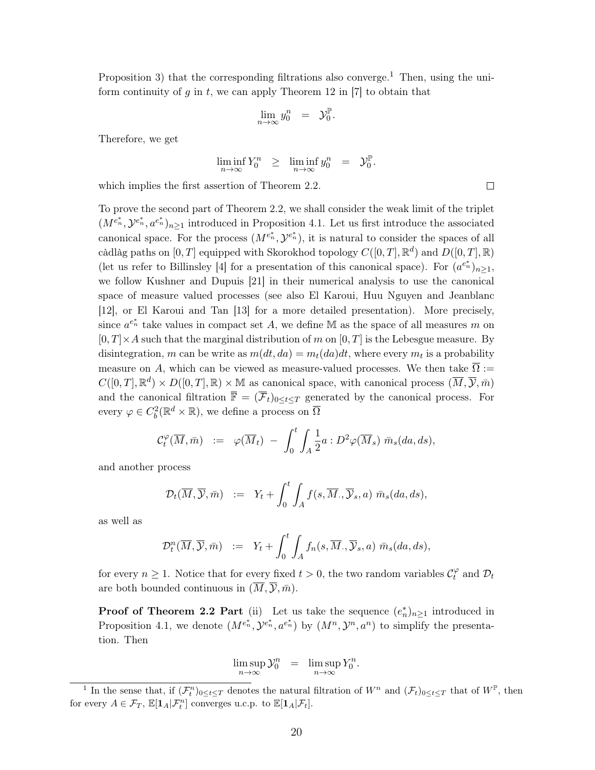Proposition 3) that the corresponding filtrations also converge.<sup>1</sup> Then, using the uniform continuity of g in t, we can apply Theorem 12 in [7] to obtain that

$$
\lim_{n \to \infty} y_0^n = \mathcal{Y}_0^{\mathbb{P}}
$$

Therefore, we get

$$
\liminf_{n \to \infty} Y_0^n \geq \liminf_{n \to \infty} y_0^n = \mathcal{Y}_0^{\mathbb{P}}
$$

which implies the first assertion of Theorem 2.2.

To prove the second part of Theorem 2.2, we shall consider the weak limit of the triplet  $(M^{e_n^*}, \mathcal{Y}^{e_n^*}, a^{e_n^*})_{n>1}$  introduced in Proposition 4.1. Let us first introduce the associated canonical space. For the process  $(M^{e_n^*}, \mathcal{Y}^{e_n^*})$ , it is natural to consider the spaces of all càdlàg paths on [0, T] equipped with Skorokhod topology  $C([0,T], \mathbb{R}^d)$  and  $D([0,T], \mathbb{R})$ (let us refer to Billinsley [4] for a presentation of this canonical space). For  $(a^{e_n})_{n>1}$ , we follow Kushner and Dupuis [21] in their numerical analysis to use the canonical space of measure valued processes (see also El Karoui, Huu Nguyen and Jeanblanc [12], or El Karoui and Tan [13] for a more detailed presentation). More precisely, since  $a^{e_n^*}$  take values in compact set A, we define M as the space of all measures m on  $[0, T] \times A$  such that the marginal distribution of m on  $[0, T]$  is the Lebesgue measure. By disintegration, m can be write as  $m(dt, da) = m_t(da)dt$ , where every  $m_t$  is a probability measure on A, which can be viewed as measure-valued processes. We then take  $\overline{\Omega}$  :=  $C([0,T],\mathbb{R}^d)\times D([0,T],\mathbb{R})\times \mathbb{M}$  as canonical space, with canonical process  $(\overline{M},\overline{Y},\overline{m})$ and the canonical filtration  $\overline{\mathbb{F}} = (\overline{\mathcal{F}}_t)_{0 \leq t \leq T}$  generated by the canonical process. For every  $\varphi \in C_b^2(\mathbb{R}^d \times \mathbb{R})$ , we define a process on  $\overline{\Omega}$ 

$$
\mathcal{C}_t^{\varphi}(\overline{M}, \bar{m}) \ := \ \varphi(\overline{M}_t) \ - \ \int_0^t \int_A \frac{1}{2} a : D^2 \varphi(\overline{M}_s) \ \bar{m}_s(da, ds),
$$

and another process

$$
\mathcal{D}_t(\overline{M}, \overline{\mathcal{Y}}, \overline{m}) \quad := \quad Y_t + \int_0^t \int_A f(s, \overline{M}, \overline{\mathcal{Y}}_s, a) \; \overline{m}_s(da, ds),
$$

as well as

$$
\mathcal{D}_t^n(\overline{M}, \overline{\mathcal{Y}}, \overline{m}) \quad := \quad Y_t + \int_0^t \int_A f_n(s, \overline{M}, \overline{\mathcal{Y}}_s, a) \; \overline{m}_s(da, ds),
$$

for every  $n \geq 1$ . Notice that for every fixed  $t > 0$ , the two random variables  $\mathcal{C}_t^{\varphi}$  and  $\mathcal{D}_t$ are both bounded continuous in  $(\overline{M}, \overline{\mathcal{Y}}, \overline{m})$ .

**Proof of Theorem 2.2 Part** (ii) Let us take the sequence  $(e_n^*)_{n>1}$  introduced in Proposition 4.1, we denote  $(M^{e_n^*}, \mathcal{Y}^{e_n^*}, a^{e_n^*})$  by  $(M^n, \mathcal{Y}^n, a^n)$  to simplify the presentation. Then

$$
\limsup_{n \to \infty} \mathcal{Y}_0^n = \limsup_{n \to \infty} Y_0^n.
$$

 $\Box$ 

<sup>&</sup>lt;sup>1</sup> In the sense that, if  $(\mathcal{F}_t^n)_{0 \leq t \leq T}$  denotes the natural filtration of  $W^n$  and  $(\mathcal{F}_t)_{0 \leq t \leq T}$  that of  $W^{\mathbb{P}}$ , then for every  $A\in\mathcal{F}_T,$   $\mathbb{E}[\mathbf{1}_A|\mathcal{F}^n_t]$  converges u.c.p. to  $\mathbb{E}[\mathbf{1}_A|\mathcal{F}_t].$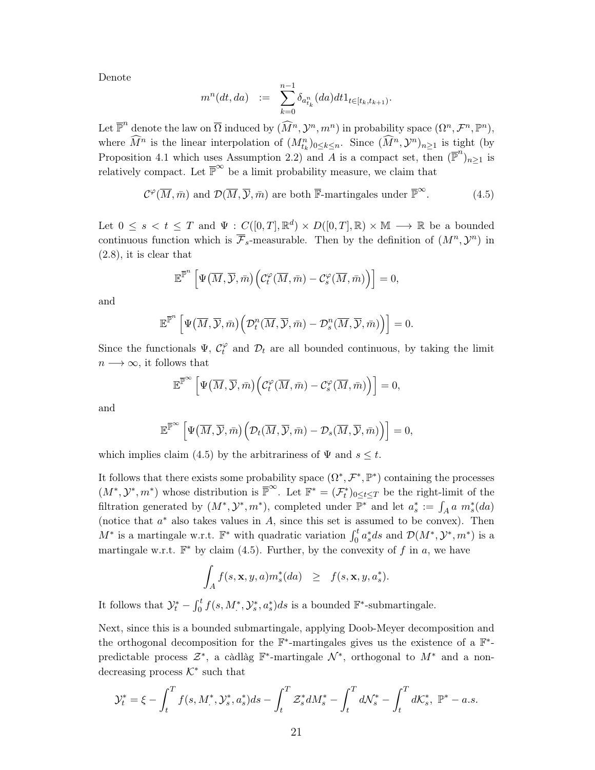Denote

$$
m^{n}(dt, da) := \sum_{k=0}^{n-1} \delta_{a_{t_k}^n}(da)dt 1_{t \in [t_k, t_{k+1})}.
$$

Let  $\overline{\mathbb{P}}^n$  denote the law on  $\overline{\Omega}$  induced by  $(\widehat{M}^n, \mathcal{Y}^n, m^n)$  in probability space  $(\Omega^n, \mathcal{F}^n, \mathbb{P}^n)$ , where  $\widehat{M}^n$  is the linear interpolation of  $(M_{t_k}^n)_{0 \leq k \leq n}$ . Since  $(\widehat{M}^n, \mathcal{Y}^n)_{n \geq 1}$  is tight (by Proposition 4.1 which uses Assumption 2.2) and A is a compact set, then  $(\overline{\mathbb{P}}^n)_{n>1}$  is relatively compact. Let  $\overline{\mathbb{P}}^{\infty}$  be a limit probability measure, we claim that

$$
\mathcal{C}^{\varphi}(\overline{M}, \overline{m}) \text{ and } \mathcal{D}(\overline{M}, \overline{\mathcal{Y}}, \overline{m}) \text{ are both } \overline{\mathbb{F}}\text{-martingales under } \overline{\mathbb{P}}^{\infty}.
$$
 (4.5)

Let  $0 \leq s \leq t \leq T$  and  $\Psi : C([0,T], \mathbb{R}^d) \times D([0,T], \mathbb{R}) \times \mathbb{M} \longrightarrow \mathbb{R}$  be a bounded continuous function which is  $\overline{\mathcal{F}}_s$ -measurable. Then by the definition of  $(M^n, \mathcal{Y}^n)$  in  $(2.8)$ , it is clear that

$$
\mathbb{E}^{\overline{\mathbb{P}}^n}\left[\Psi\big(\overline{M}, \overline{\mathcal{Y}}, \bar{m}\big)\Big(\mathcal{C}^\varphi_t(\overline{M}, \bar{m}) - \mathcal{C}^\varphi_s(\overline{M}, \bar{m})\Big)\right] = 0,
$$

and

$$
\mathbb{E}^{\overline{\mathbb{P}}^n}\left[\Psi\big(\overline{M}, \overline{\mathcal{Y}}, \bar{m}\big)\Big(\mathcal{D}^n_t(\overline{M}, \overline{\mathcal{Y}}, \bar{m}) - \mathcal{D}^n_s(\overline{M}, \overline{\mathcal{Y}}, \bar{m})\Big)\right] = 0.
$$

Since the functionals  $\Psi$ ,  $C_t^{\varphi}$  and  $\mathcal{D}_t$  are all bounded continuous, by taking the limit  $n \longrightarrow \infty$ , it follows that

$$
\mathbb{E}^{\overline{\mathbb{P}}^{\infty}}\left[\Psi\left(\overline{M}, \overline{\mathcal{Y}}, \bar{m}\right)\left(\mathcal{C}^{\varphi}_t(\overline{M}, \bar{m}) - \mathcal{C}^{\varphi}_s(\overline{M}, \bar{m})\right)\right] = 0,
$$

and

$$
\mathbb{E}^{\overline{\mathbb{P}}^{\infty}}\left[\Psi\big(\overline{M}, \overline{\mathcal{Y}}, \bar{m}\big)\Big(\mathcal{D}_t(\overline{M}, \overline{\mathcal{Y}}, \bar{m}) - \mathcal{D}_s(\overline{M}, \overline{\mathcal{Y}}, \bar{m})\Big)\right] = 0,
$$

which implies claim (4.5) by the arbitrariness of  $\Psi$  and  $s \leq t$ .

It follows that there exists some probability space  $(\Omega^*, \mathcal{F}^*, \mathbb{P}^*)$  containing the processes  $(M^*,\mathcal{Y}^*,m^*)$  whose distribution is  $\overline{\mathbb{P}}^{\infty}$ . Let  $\mathbb{F}^*=(\mathcal{F}^*_t)_{0\leq t\leq T}$  be the right-limit of the filtration generated by  $(M^*, \mathcal{Y}^*, m^*)$ , completed under  $\mathbb{P}^*$  and let  $a_s^* := \int_A a \; m_s^*(da)$ (notice that  $a^*$  also takes values in A, since this set is assumed to be convex). Then  $M^*$  is a martingale w.r.t.  $\mathbb{F}^*$  with quadratic variation  $\int_0^t a_s^* ds$  and  $\mathcal{D}(M^*, \mathcal{Y}^*, m^*)$  is a martingale w.r.t.  $\mathbb{F}^*$  by claim (4.5). Further, by the convexity of f in a, we have

$$
\int_A f(s, \mathbf{x}, y, a) m_s^*(da) \geq f(s, \mathbf{x}, y, a_s^*).
$$

It follows that  $\mathcal{Y}_t^* - \int_0^t f(s, M^*, \mathcal{Y}_s^*, a_s^*) ds$  is a bounded  $\mathbb{F}^*$ -submartingale.

Next, since this is a bounded submartingale, applying Doob-Meyer decomposition and the orthogonal decomposition for the  $\mathbb{F}^*$ -martingales gives us the existence of a  $\mathbb{F}^*$ predictable process  $\mathcal{Z}^*$ , a càdlàg  $\mathbb{F}^*$ -martingale  $\mathcal{N}^*$ , orthogonal to  $M^*$  and a nondecreasing process  $K^*$  such that

$$
\mathcal{Y}_t^* = \xi - \int_t^T f(s, M_{.}^*, \mathcal{Y}_s^*, a_s^*) ds - \int_t^T \mathcal{Z}_s^* dM_s^* - \int_t^T d\mathcal{N}_s^* - \int_t^T d\mathcal{K}_s^*, \ \mathbb{P}^* - a.s.
$$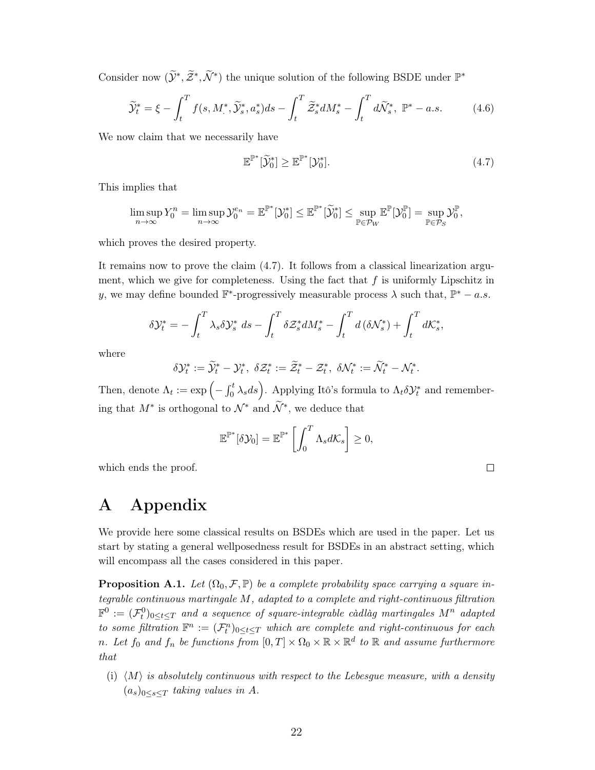Consider now  $(\widetilde{\mathcal{Y}}^*, \widetilde{\mathcal{Z}}^*, \widetilde{\mathcal{N}}^*)$  the unique solution of the following BSDE under  $\mathbb{P}^*$ 

$$
\widetilde{\mathcal{Y}}_t^* = \xi - \int_t^T f(s, M_\cdot^*, \widetilde{\mathcal{Y}}_s^*, a_s^*) ds - \int_t^T \widetilde{\mathcal{Z}}_s^* dM_s^* - \int_t^T d\widetilde{\mathcal{N}}_s^*, \ \mathbb{P}^* - a.s. \tag{4.6}
$$

We now claim that we necessarily have

$$
\mathbb{E}^{\mathbb{P}^*}[\widetilde{\mathcal{Y}}_0^*] \ge \mathbb{E}^{\mathbb{P}^*}[\mathcal{Y}_0^*]. \tag{4.7}
$$

 $\Box$ 

This implies that

$$
\limsup_{n\to\infty}Y_0^n=\limsup_{n\to\infty}\mathcal{Y}_0^{e_n}=\mathbb{E}^{\mathbb{P}^*}[\mathcal{Y}_0^*]\leq\mathbb{E}^{\mathbb{P}^*}[\widetilde{\mathcal{Y}}_0^*]\leq\sup_{\mathbb{P}\in\mathcal{P}_W}\mathbb{E}^{\mathbb{P}}[\mathcal{Y}_0^{\mathbb{P}}]=\sup_{\mathbb{P}\in\mathcal{P}_S}\mathcal{Y}_0^{\mathbb{P}},
$$

which proves the desired property.

It remains now to prove the claim  $(4.7)$ . It follows from a classical linearization argument, which we give for completeness. Using the fact that  $f$  is uniformly Lipschitz in y, we may define bounded  $\mathbb{F}^*$ -progressively measurable process  $\lambda$  such that,  $\mathbb{P}^* - a.s$ .

$$
\delta \mathcal{Y}_t^* = -\int_t^T \lambda_s \delta \mathcal{Y}_s^* ds - \int_t^T \delta \mathcal{Z}_s^* dM_s^* - \int_t^T d\left(\delta \mathcal{N}_s^*\right) + \int_t^T d\mathcal{K}_s^*,
$$

where

$$
\delta \mathcal{Y}^*_t:=\widetilde{\mathcal{Y}}^*_t-\mathcal{Y}^*_t, \ \delta \mathcal{Z}^*_t:=\widetilde{\mathcal{Z}}^*_t-\mathcal{Z}^*_t, \ \delta \mathcal{N}^*_t:=\widetilde{\mathcal{N}}^*_t-\mathcal{N}^*_t.
$$

Then, denote  $\Lambda_t := \exp\left(-\int_0^t \lambda_s ds\right)$ . Applying Itô's formula to  $\Lambda_t \delta \mathcal{Y}_t^*$  and remembering that  $M^*$  is orthogonal to  $\mathcal{N}^*$  and  $\widetilde{\mathcal{N}}^*$ , we deduce that

$$
\mathbb{E}^{\mathbb{P}^*}[\delta \mathcal{Y}_0] = \mathbb{E}^{\mathbb{P}^*} \left[ \int_0^T \Lambda_s d\mathcal{K}_s \right] \geq 0
$$

which ends the proof.

# Appendix  $\bf{A}$

We provide here some classical results on BSDEs which are used in the paper. Let us start by stating a general wellposedness result for BSDEs in an abstract setting, which will encompass all the cases considered in this paper.

**Proposition A.1.** Let  $(\Omega_0, \mathcal{F}, \mathbb{P})$  be a complete probability space carrying a square integrable continuous martingale M, adapted to a complete and right-continuous filtration  $\mathbb{F}^0 := (\mathcal{F}^0_t)_{0 \leq t \leq T}$  and a sequence of square-integrable càdlàg martingales  $M^n$  adapted to some filtration  $\mathbb{F}^n := (\mathcal{F}^n_t)_{0 \leq t \leq T}$  which are complete and right-continuous for each *n.* Let  $f_0$  and  $f_n$  be functions from  $[0,T] \times \Omega_0 \times \mathbb{R} \times \mathbb{R}^d$  to  $\mathbb{R}$  and assume furthermore that

(i)  $\langle M \rangle$  is absolutely continuous with respect to the Lebesgue measure, with a density  $(a_s)_{0\leq s\leq T}$  taking values in A.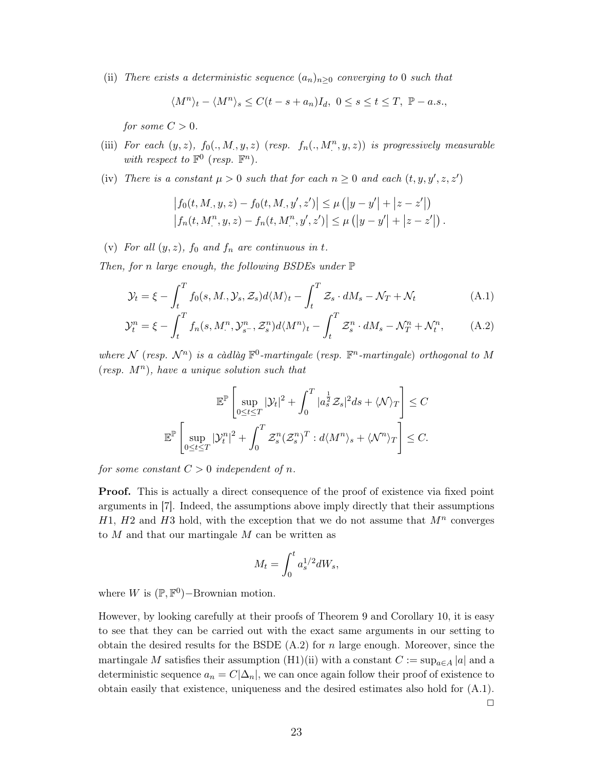(ii) There exists a deterministic sequence  $(a_n)_{n>0}$  converging to 0 such that

$$
\langle M^n \rangle_t - \langle M^n \rangle_s \le C(t - s + a_n)I_d, \ 0 \le s \le t \le T, \ \mathbb{P} - a.s.,
$$

for some  $C > 0$ .

- (iii) For each  $(y, z)$ ,  $f_0(., M., y, z)$  (resp.  $f_n(., M^n, y, z)$ ) is progressively measurable with respect to  $\mathbb{F}^0$  (resp.  $\mathbb{F}^n$ ).
- (iv) There is a constant  $\mu > 0$  such that for each  $n \geq 0$  and each  $(t, y, y', z, z')$

$$
\left| f_0(t, M, y, z) - f_0(t, M, y', z') \right| \le \mu \left( |y - y'| + |z - z'| \right)
$$
  

$$
\left| f_n(t, M^n, y, z) - f_n(t, M^n, y', z') \right| \le \mu \left( |y - y'| + |z - z'| \right).
$$

(v) For all  $(y, z)$ ,  $f_0$  and  $f_n$  are continuous in t.

Then, for n large enough, the following BSDEs under  $\mathbb P$ 

$$
\mathcal{Y}_t = \xi - \int_t^T f_0(s, M, \mathcal{Y}_s, \mathcal{Z}_s) d\langle M \rangle_t - \int_t^T \mathcal{Z}_s \cdot dM_s - \mathcal{N}_T + \mathcal{N}_t \tag{A.1}
$$

$$
\mathcal{Y}_t^n = \xi - \int_t^T f_n(s, M_\cdot^n, \mathcal{Y}_{s^-}^n, \mathcal{Z}_s^n) d\langle M^n \rangle_t - \int_t^T \mathcal{Z}_s^n \cdot dM_s - \mathcal{N}_T^n + \mathcal{N}_t^n, \tag{A.2}
$$

where N (resp.  $\mathcal{N}^n$ ) is a càdlàg  $\mathbb{F}^0$ -martingale (resp.  $\mathbb{F}^n$ -martingale) orthogonal to M (resp.  $M^n$ ), have a unique solution such that

$$
\mathbb{E}^{\mathbb{P}}\left[\sup_{0\leq t\leq T}|\mathcal{Y}_t|^2+\int_0^T|a_s^{\frac{1}{2}}\mathcal{Z}_s|^2ds+\langle \mathcal{N}\rangle_T\right]\leq C
$$
  

$$
\mathbb{E}^{\mathbb{P}}\left[\sup_{0\leq t\leq T}|\mathcal{Y}_t^n|^2+\int_0^T\mathcal{Z}_s^n(\mathcal{Z}_s^n)^T:d\langle M^n\rangle_s+\langle \mathcal{N}^n\rangle_T\right]\leq C.
$$

for some constant  $C>0$  independent of n.

**Proof.** This is actually a direct consequence of the proof of existence via fixed point arguments in [7]. Indeed, the assumptions above imply directly that their assumptions  $H1, H2$  and  $H3$  hold, with the exception that we do not assume that  $M^n$  converges to  $M$  and that our martingale  $M$  can be written as

$$
M_t = \int_0^t a_s^{1/2} dW_s
$$

where W is  $(\mathbb{P}, \mathbb{F}^0)$ -Brownian motion.

However, by looking carefully at their proofs of Theorem 9 and Corollary 10, it is easy to see that they can be carried out with the exact same arguments in our setting to obtain the desired results for the BSDE  $(A.2)$  for n large enough. Moreover, since the martingale M satisfies their assumption (H1)(ii) with a constant  $C := \sup_{a \in A} |a|$  and a deterministic sequence  $a_n = C|\Delta_n|$ , we can once again follow their proof of existence to obtain easily that existence, uniqueness and the desired estimates also hold for (A.1).  $\Box$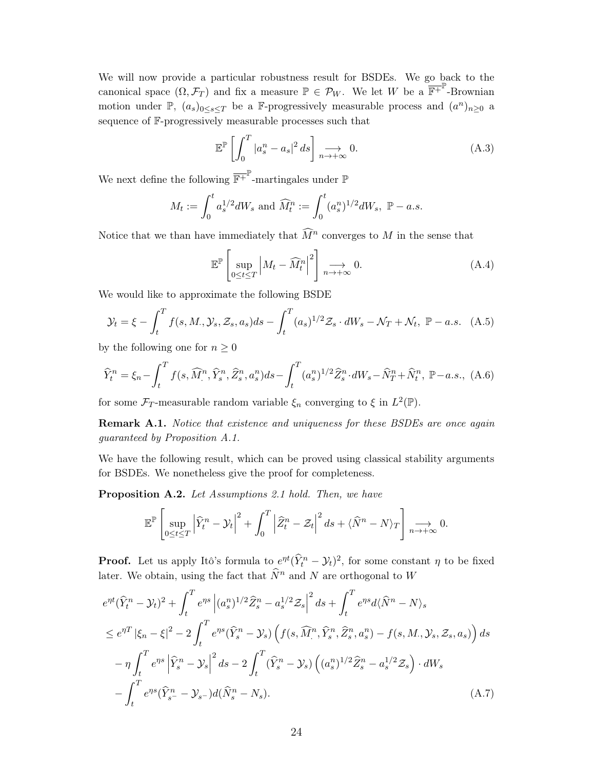We will now provide a particular robustness result for BSDEs. We go back to the canonical space  $(\Omega, \mathcal{F}_T)$  and fix a measure  $\mathbb{P} \in \mathcal{P}_W$ . We let W be a  $\overline{\mathbb{F}^+}^{\mathbb{P}}$ -Brownian motion under  $\mathbb{P}, (a_s)_{0 \leq s \leq T}$  be a F-progressively measurable process and  $(a^n)_{n \geq 0}$  a sequence of F-progressively measurable processes such that

$$
\mathbb{E}^{\mathbb{P}}\left[\int_{0}^{T} |a_{s}^{n} - a_{s}|^{2} ds\right] \underset{n \to +\infty}{\longrightarrow} 0. \tag{A.3}
$$

We next define the following  $\overline{\mathbb{F}^+}^{\mathbb{P}}$ -martingales under  $\mathbb P$ 

$$
M_t := \int_0^t a_s^{1/2} dW_s \text{ and } \widehat{M}_t^n := \int_0^t (a_s^n)^{1/2} dW_s, \ \mathbb{P}-a.s.
$$

Notice that we than have immediately that  $\widehat{M}^n$  converges to M in the sense that

$$
\mathbb{E}^{\mathbb{P}}\left[\sup_{0\leq t\leq T}\left|M_{t}-\widehat{M}_{t}^{n}\right|^{2}\right]\underset{n\rightarrow+\infty}{\longrightarrow}0.\tag{A.4}
$$

We would like to approximate the following BSDE

$$
\mathcal{Y}_t = \xi - \int_t^T f(s, M, \mathcal{Y}_s, \mathcal{Z}_s, a_s) ds - \int_t^T (a_s)^{1/2} \mathcal{Z}_s \cdot dW_s - \mathcal{N}_T + \mathcal{N}_t, \ \mathbb{P} - a.s. \tag{A.5}
$$

by the following one for  $n \geq 0$ 

$$
\widehat{Y}_t^n = \xi_n - \int_t^T f(s, \widehat{M}_\cdot^n, \widehat{Y}_s^n, \widehat{Z}_s^n, a_s^n) ds - \int_t^T (a_s^n)^{1/2} \widehat{Z}_s^n \cdot dW_s - \widehat{N}_T^n + \widehat{N}_t^n, \ \mathbb{P}-a.s., \ (A.6)
$$

for some  $\mathcal{F}_T$ -measurable random variable  $\xi_n$  converging to  $\xi$  in  $L^2(\mathbb{P})$ .

**Remark A.1.** Notice that existence and uniqueness for these BSDEs are once again guaranteed by Proposition A.1.

We have the following result, which can be proved using classical stability arguments for BSDEs. We nonetheless give the proof for completeness.

**Proposition A.2.** Let Assumptions 2.1 hold. Then, we have

$$
\mathbb{E}^{\mathbb{P}}\left[\sup_{0\leq t\leq T}\left|\widehat{Y}_{t}^{n}-\mathcal{Y}_{t}\right|^{2}+\int_{0}^{T}\left|\widehat{Z}_{t}^{n}-\mathcal{Z}_{t}\right|^{2}ds+\langle\widehat{N}^{n}-N\rangle_{T}\right]\underset{n\rightarrow+\infty}{\longrightarrow}0.
$$

**Proof.** Let us apply Itô's formula to  $e^{\eta t}(\hat{Y}_t^n - \mathcal{Y}_t)^2$ , for some constant  $\eta$  to be fixed later. We obtain, using the fact that  $\widehat{N}^n$  and N are orthogonal to W

$$
e^{\eta t}(\hat{Y}_{t}^{n} - \mathcal{Y}_{t})^{2} + \int_{t}^{T} e^{\eta s} |(a_{s}^{n})^{1/2} \hat{Z}_{s}^{n} - a_{s}^{1/2} \mathcal{Z}_{s}|^{2} ds + \int_{t}^{T} e^{\eta s} d\langle \hat{N}^{n} - N \rangle_{s}
$$
  
\n
$$
\leq e^{\eta T} |\xi_{n} - \xi|^{2} - 2 \int_{t}^{T} e^{\eta s} (\hat{Y}_{s}^{n} - \mathcal{Y}_{s}) \left( f(s, \widehat{M}^{n}, \hat{Y}_{s}^{n}, \hat{Z}_{s}^{n}, a_{s}^{n}) - f(s, M, \mathcal{Y}_{s}, \mathcal{Z}_{s}, a_{s}) \right) ds
$$
  
\n
$$
- \eta \int_{t}^{T} e^{\eta s} |\hat{Y}_{s}^{n} - \mathcal{Y}_{s}|^{2} ds - 2 \int_{t}^{T} (\hat{Y}_{s}^{n} - \mathcal{Y}_{s}) \left( (a_{s}^{n})^{1/2} \hat{Z}_{s}^{n} - a_{s}^{1/2} \mathcal{Z}_{s} \right) \cdot dW_{s}
$$
  
\n
$$
- \int_{t}^{T} e^{\eta s} (\hat{Y}_{s}^{n} - \mathcal{Y}_{s} -) d(\hat{N}_{s}^{n} - N_{s}). \tag{A.7}
$$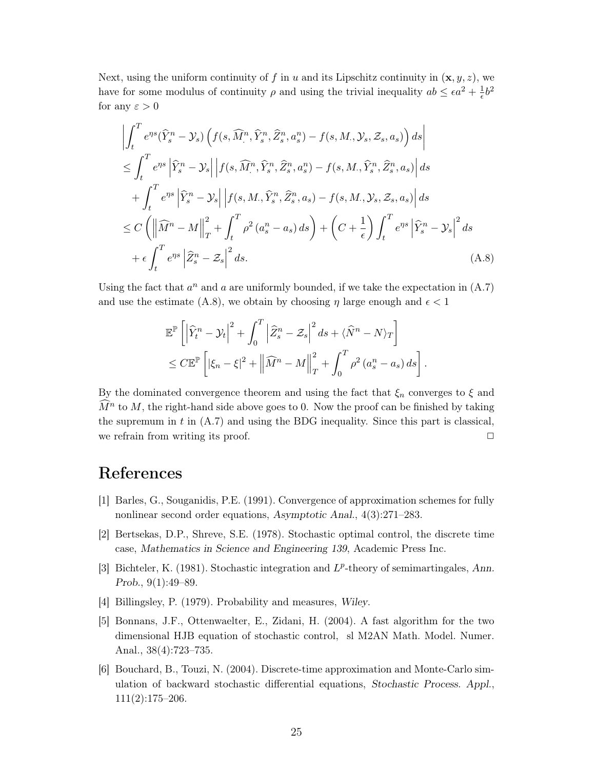Next, using the uniform continuity of f in u and its Lipschitz continuity in  $(\mathbf{x}, y, z)$ , we have for some modulus of continuity  $\rho$  and using the trivial inequality  $ab \leq \epsilon a^2 + \frac{1}{\epsilon}b^2$ for any  $\varepsilon > 0$ 

$$
\left| \int_{t}^{T} e^{\eta s} (\widehat{Y}_{s}^{n} - \mathcal{Y}_{s}) \left( f(s, \widehat{M}_{s}^{n}, \widehat{Y}_{s}^{n}, \widehat{Z}_{s}^{n}, a_{s}^{n}) - f(s, M_{s}, \mathcal{Y}_{s}, \mathcal{Z}_{s}, a_{s}) \right) ds \right|
$$
  
\n
$$
\leq \int_{t}^{T} e^{\eta s} \left| \widehat{Y}_{s}^{n} - \mathcal{Y}_{s} \right| \left| f(s, \widehat{M}_{s}^{n}, \widehat{Y}_{s}^{n}, \widehat{Z}_{s}^{n}, a_{s}^{n}) - f(s, M_{s}, \widehat{Y}_{s}^{n}, \widehat{Z}_{s}^{n}, a_{s}) \right| ds
$$
  
\n
$$
+ \int_{t}^{T} e^{\eta s} \left| \widehat{Y}_{s}^{n} - \mathcal{Y}_{s} \right| \left| f(s, M_{s}, \widehat{Y}_{s}^{n}, \widehat{Z}_{s}^{n}, a_{s}) - f(s, M_{s}, \mathcal{Y}_{s}, \mathcal{Z}_{s}, a_{s}) \right| ds
$$
  
\n
$$
\leq C \left( \left\| \widehat{M}^{n} - M \right\|_{T}^{2} + \int_{t}^{T} \rho^{2} (a_{s}^{n} - a_{s}) ds \right) + \left( C + \frac{1}{\epsilon} \right) \int_{t}^{T} e^{\eta s} \left| \widehat{Y}_{s}^{n} - \mathcal{Y}_{s} \right|^{2} ds
$$
  
\n
$$
+ \epsilon \int_{t}^{T} e^{\eta s} \left| \widehat{Z}_{s}^{n} - \mathcal{Z}_{s} \right|^{2} ds.
$$
 (A.8)

Using the fact that  $a^n$  and a are uniformly bounded, if we take the expectation in  $(A.7)$ and use the estimate (A.8), we obtain by choosing  $\eta$  large enough and  $\epsilon < 1$ 

$$
\mathbb{E}^{\mathbb{P}}\left[\left|\widehat{Y}_{t}^{n}-\mathcal{Y}_{t}\right|^{2}+\int_{0}^{T}\left|\widehat{Z}_{s}^{n}-\mathcal{Z}_{s}\right|^{2}ds+\langle\widehat{N}^{n}-N\rangle_{T}\right]
$$
  

$$
\leq C\mathbb{E}^{\mathbb{P}}\left[\left|\xi_{n}-\xi\right|^{2}+\left\|\widehat{M}^{n}-M\right\|_{T}^{2}+\int_{0}^{T}\rho^{2}\left(a_{s}^{n}-a_{s}\right)ds\right].
$$

By the dominated convergence theorem and using the fact that  $\xi_n$  converges to  $\xi$  and  $\widehat{M}^n$  to M, the right-hand side above goes to 0. Now the proof can be finished by taking the supremum in  $t$  in  $(A.7)$  and using the BDG inequality. Since this part is classical, we refrain from writing its proof.  $\Box$ 

# References

- [1] Barles, G., Souganidis, P.E. (1991). Convergence of approximation schemes for fully nonlinear second order equations, Asymptotic Anal.,  $4(3):271-283$ .
- [2] Bertsekas, D.P., Shreve, S.E. (1978). Stochastic optimal control, the discrete time case, Mathematics in Science and Engineering 139, Academic Press Inc.
- [3] Bichteler, K. (1981). Stochastic integration and  $L^p$ -theory of semimartingales, Ann. Prob.,  $9(1):49-89$ .
- [4] Billingsley, P. (1979). Probability and measures, Wiley.
- [5] Bonnans, J.F., Ottenwaelter, E., Zidani, H. (2004). A fast algorithm for the two dimensional HJB equation of stochastic control, sl M2AN Math. Model. Numer. Anal.,  $38(4):723-735$ .
- [6] Bouchard, B., Touzi, N. (2004). Discrete-time approximation and Monte-Carlo simulation of backward stochastic differential equations, Stochastic Process. Appl.,  $111(2):175-206.$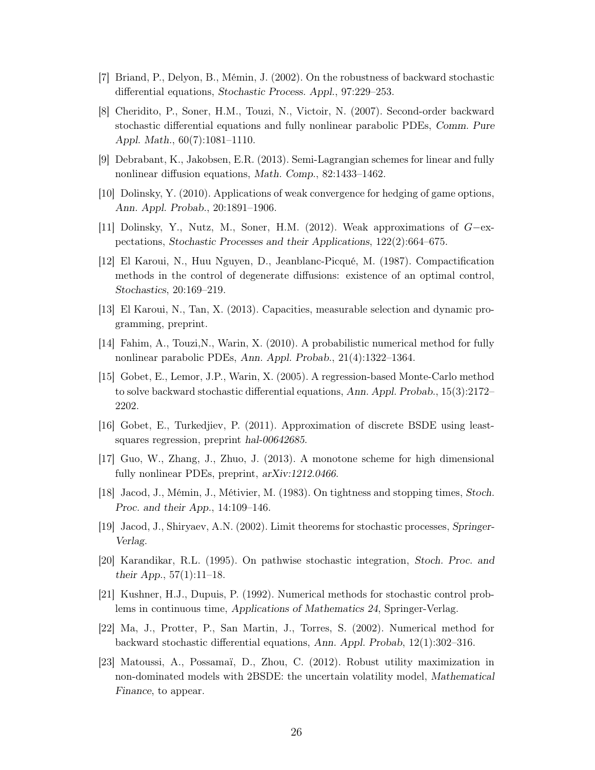- [7] Briand, P., Delyon, B., Mémin, J. (2002). On the robustness of backward stochastic differential equations, Stochastic Process. Appl., 97:229–253.
- [8] Cheridito, P., Soner, H.M., Touzi, N., Victoir, N. (2007). Second-order backward stochastic differential equations and fully nonlinear parabolic PDEs, Comm. Pure Appl. Math.,  $60(7):1081-1110$ .
- [9] Debrabant, K., Jakobsen, E.R. (2013). Semi-Lagrangian schemes for linear and fully nonlinear diffusion equations, Math. Comp., 82:1433-1462.
- [10] Dolinsky, Y. (2010). Applications of weak convergence for hedging of game options. Ann. Appl. Probab., 20:1891-1906.
- [11] Dolinsky, Y., Nutz, M., Soner, H.M. (2012). Weak approximations of  $G$ -expectations, Stochastic Processes and their Applications, 122(2):664–675.
- [12] El Karoui, N., Huu Nguyen, D., Jeanblanc-Picqué, M. (1987). Compactification methods in the control of degenerate diffusions: existence of an optimal control, Stochastics, 20:169-219.
- [13] El Karoui, N., Tan, X. (2013). Capacities, measurable selection and dynamic programming, preprint.
- [14] Fahim, A., Touzi, N., Warin, X. (2010). A probabilistic numerical method for fully nonlinear parabolic PDEs, Ann. Appl. Probab., 21(4):1322-1364.
- [15] Gobet, E., Lemor, J.P., Warin, X. (2005). A regression-based Monte-Carlo method to solve backward stochastic differential equations, Ann. Appl. Probab.,  $15(3):2172-$ 2202.
- [16] Gobet, E., Turkedjiev, P. (2011). Approximation of discrete BSDE using leastsquares regression, preprint hal-00642685.
- [17] Guo, W., Zhang, J., Zhuo, J. (2013). A monotone scheme for high dimensional fully nonlinear PDEs, preprint, arXiv:1212.0466.
- [18] Jacod, J., Mémin, J., Métivier, M. (1983). On tightness and stopping times, Stoch. Proc. and their App.,  $14:109-146$ .
- [19] Jacod, J., Shiryaev, A.N. (2002). Limit theorems for stochastic processes, Springer-Verlag.
- [20] Karandikar, R.L. (1995). On pathwise stochastic integration, Stoch. Proc. and their App.,  $57(1):11-18$ .
- [21] Kushner, H.J., Dupuis, P. (1992). Numerical methods for stochastic control problems in continuous time, Applications of Mathematics 24, Springer-Verlag.
- [22] Ma, J., Protter, P., San Martin, J., Torres, S. (2002). Numerical method for backward stochastic differential equations, Ann. Appl. Probab, 12(1):302-316.
- [23] Matoussi, A., Possamaï, D., Zhou, C. (2012). Robust utility maximization in non-dominated models with 2BSDE: the uncertain volatility model, Mathematical Finance, to appear.